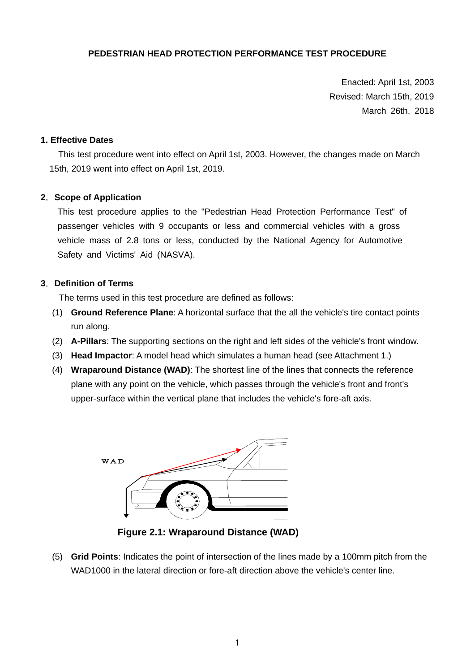## **PEDESTRIAN HEAD PROTECTION PERFORMANCE TEST PROCEDURE**

Enacted: April 1st, 2003 Revised: March 15th, 2019 March 26th, 2018

#### **1. Effective Dates**

 This test procedure went into effect on April 1st, 2003. However, the changes made on March 15th, 2019 went into effect on April 1st, 2019.

#### **2**.**Scope of Application**

This test procedure applies to the "Pedestrian Head Protection Performance Test" of passenger vehicles with 9 occupants or less and commercial vehicles with a gross vehicle mass of 2.8 tons or less, conducted by the National Agency for Automotive Safety and Victims' Aid (NASVA).

#### **3**.**Definition of Terms**

The terms used in this test procedure are defined as follows:

- (1) **Ground Reference Plane**: A horizontal surface that the all the vehicle's tire contact points run along.
- (2) **A-Pillars**: The supporting sections on the right and left sides of the vehicle's front window.
- (3) **Head Impactor**: A model head which simulates a human head (see Attachment 1.)
- (4) **Wraparound Distance (WAD)**: The shortest line of the lines that connects the reference plane with any point on the vehicle, which passes through the vehicle's front and front's upper-surface within the vertical plane that includes the vehicle's fore-aft axis.



**Figure 2.1: Wraparound Distance (WAD)** 

(5) **Grid Points**: Indicates the point of intersection of the lines made by a 100mm pitch from the WAD1000 in the lateral direction or fore-aft direction above the vehicle's center line.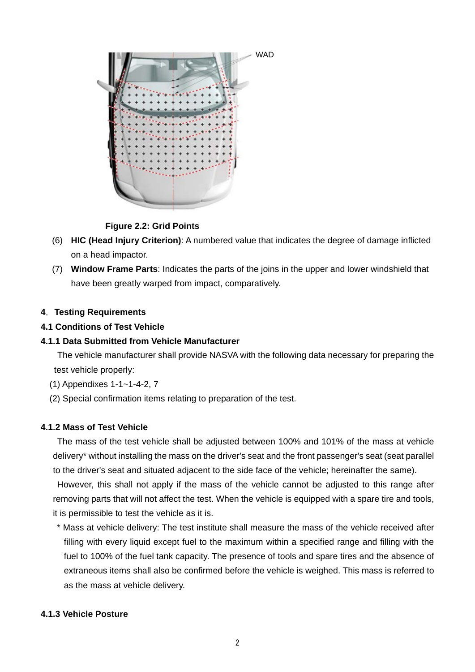

**Figure 2.2: Grid Points** 

- (6) **HIC (Head Injury Criterion)**: A numbered value that indicates the degree of damage inflicted on a head impactor.
- (7) **Window Frame Parts**: Indicates the parts of the joins in the upper and lower windshield that have been greatly warped from impact, comparatively.

### **4**.**Testing Requirements**

### **4.1 Conditions of Test Vehicle**

#### **4.1.1 Data Submitted from Vehicle Manufacturer**

The vehicle manufacturer shall provide NASVA with the following data necessary for preparing the test vehicle properly:

- (1) Appendixes 1-1~1-4-2, 7
- (2) Special confirmation items relating to preparation of the test.

#### **4.1.2 Mass of Test Vehicle**

The mass of the test vehicle shall be adjusted between 100% and 101% of the mass at vehicle delivery\* without installing the mass on the driver's seat and the front passenger's seat (seat parallel to the driver's seat and situated adjacent to the side face of the vehicle; hereinafter the same).

However, this shall not apply if the mass of the vehicle cannot be adjusted to this range after removing parts that will not affect the test. When the vehicle is equipped with a spare tire and tools, it is permissible to test the vehicle as it is.

\* Mass at vehicle delivery: The test institute shall measure the mass of the vehicle received after filling with every liquid except fuel to the maximum within a specified range and filling with the fuel to 100% of the fuel tank capacity. The presence of tools and spare tires and the absence of extraneous items shall also be confirmed before the vehicle is weighed. This mass is referred to as the mass at vehicle delivery.

#### **4.1.3 Vehicle Posture**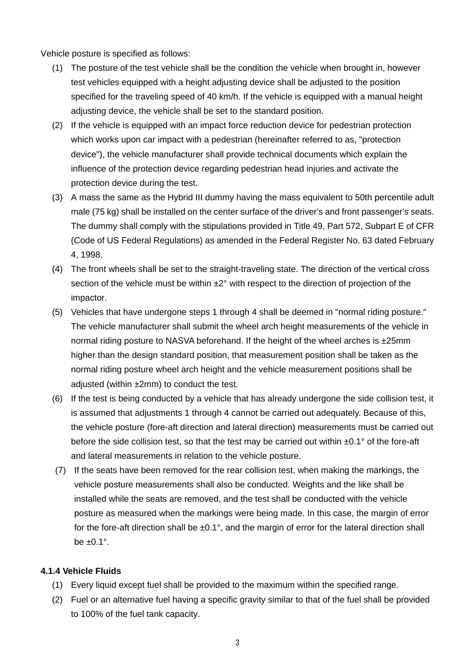Vehicle posture is specified as follows:

- (1) The posture of the test vehicle shall be the condition the vehicle when brought in, however test vehicles equipped with a height adjusting device shall be adjusted to the position specified for the traveling speed of 40 km/h. If the vehicle is equipped with a manual height adjusting device, the vehicle shall be set to the standard position.
- (2) If the vehicle is equipped with an impact force reduction device for pedestrian protection which works upon car impact with a pedestrian (hereinafter referred to as, "protection device"), the vehicle manufacturer shall provide technical documents which explain the influence of the protection device regarding pedestrian head injuries and activate the protection device during the test.
- (3) A mass the same as the Hybrid III dummy having the mass equivalent to 50th percentile adult male (75 kg) shall be installed on the center surface of the driver's and front passenger's seats. The dummy shall comply with the stipulations provided in Title 49, Part 572, Subpart E of CFR (Code of US Federal Regulations) as amended in the Federal Register No. 63 dated February 4, 1998.
- (4) The front wheels shall be set to the straight-traveling state. The direction of the vertical cross section of the vehicle must be within  $\pm 2^{\circ}$  with respect to the direction of projection of the impactor.
- (5) Vehicles that have undergone steps 1 through 4 shall be deemed in "normal riding posture." The vehicle manufacturer shall submit the wheel arch height measurements of the vehicle in normal riding posture to NASVA beforehand. If the height of the wheel arches is  $\pm 25$ mm higher than the design standard position, that measurement position shall be taken as the normal riding posture wheel arch height and the vehicle measurement positions shall be adjusted (within ±2mm) to conduct the test.
- (6) If the test is being conducted by a vehicle that has already undergone the side collision test, it is assumed that adjustments 1 through 4 cannot be carried out adequately. Because of this, the vehicle posture (fore-aft direction and lateral direction) measurements must be carried out before the side collision test, so that the test may be carried out within  $\pm 0.1^\circ$  of the fore-aft and lateral measurements in relation to the vehicle posture.
- (7) If the seats have been removed for the rear collision test, when making the markings, the vehicle posture measurements shall also be conducted. Weights and the like shall be installed while the seats are removed, and the test shall be conducted with the vehicle posture as measured when the markings were being made. In this case, the margin of error for the fore-aft direction shall be  $\pm 0.1^\circ$ , and the margin of error for the lateral direction shall be  $\pm 0.1^\circ$ .

## **4.1.4 Vehicle Fluids**

- (1) Every liquid except fuel shall be provided to the maximum within the specified range.
- (2) Fuel or an alternative fuel having a specific gravity similar to that of the fuel shall be provided to 100% of the fuel tank capacity.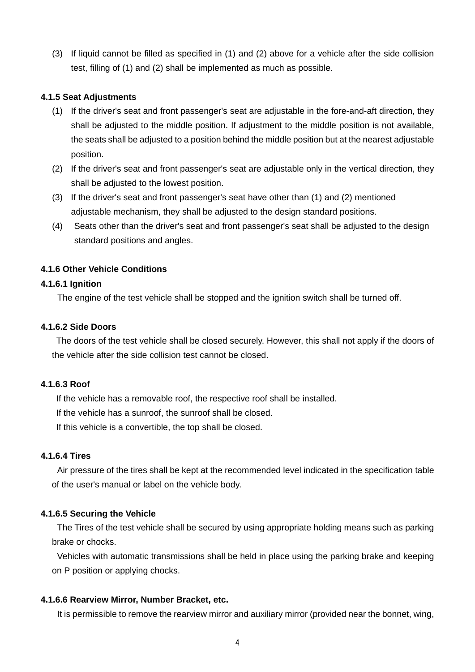(3) If liquid cannot be filled as specified in (1) and (2) above for a vehicle after the side collision test, filling of (1) and (2) shall be implemented as much as possible.

#### **4.1.5 Seat Adjustments**

- (1) If the driver's seat and front passenger's seat are adjustable in the fore-and-aft direction, they shall be adjusted to the middle position. If adjustment to the middle position is not available, the seats shall be adjusted to a position behind the middle position but at the nearest adjustable position.
- (2) If the driver's seat and front passenger's seat are adjustable only in the vertical direction, they shall be adjusted to the lowest position.
- (3) If the driver's seat and front passenger's seat have other than (1) and (2) mentioned adjustable mechanism, they shall be adjusted to the design standard positions.
- (4) Seats other than the driver's seat and front passenger's seat shall be adjusted to the design standard positions and angles.

### **4.1.6 Other Vehicle Conditions**

#### **4.1.6.1 Ignition**

The engine of the test vehicle shall be stopped and the ignition switch shall be turned off.

#### **4.1.6.2 Side Doors**

The doors of the test vehicle shall be closed securely. However, this shall not apply if the doors of the vehicle after the side collision test cannot be closed.

#### **4.1.6.3 Roof**

If the vehicle has a removable roof, the respective roof shall be installed.

If the vehicle has a sunroof, the sunroof shall be closed.

If this vehicle is a convertible, the top shall be closed.

#### **4.1.6.4 Tires**

Air pressure of the tires shall be kept at the recommended level indicated in the specification table of the user's manual or label on the vehicle body.

#### **4.1.6.5 Securing the Vehicle**

The Tires of the test vehicle shall be secured by using appropriate holding means such as parking brake or chocks.

Vehicles with automatic transmissions shall be held in place using the parking brake and keeping on P position or applying chocks.

#### **4.1.6.6 Rearview Mirror, Number Bracket, etc.**

It is permissible to remove the rearview mirror and auxiliary mirror (provided near the bonnet, wing,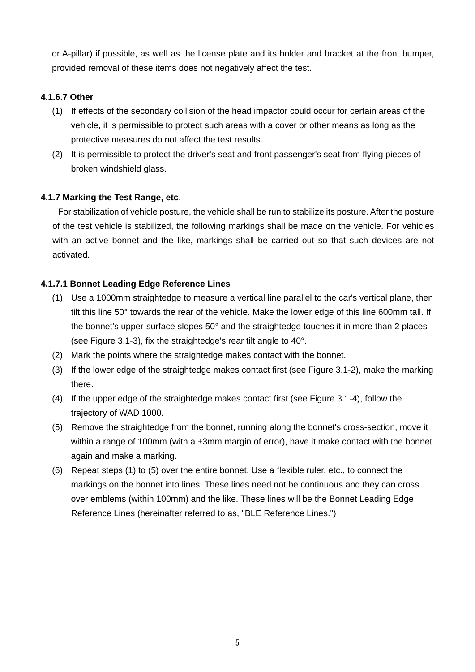or A-pillar) if possible, as well as the license plate and its holder and bracket at the front bumper, provided removal of these items does not negatively affect the test.

## **4.1.6.7 Other**

- (1) If effects of the secondary collision of the head impactor could occur for certain areas of the vehicle, it is permissible to protect such areas with a cover or other means as long as the protective measures do not affect the test results.
- (2) It is permissible to protect the driver's seat and front passenger's seat from flying pieces of broken windshield glass.

### **4.1.7 Marking the Test Range, etc**.

For stabilization of vehicle posture, the vehicle shall be run to stabilize its posture. After the posture of the test vehicle is stabilized, the following markings shall be made on the vehicle. For vehicles with an active bonnet and the like, markings shall be carried out so that such devices are not activated.

## **4.1.7.1 Bonnet Leading Edge Reference Lines**

- (1) Use a 1000mm straightedge to measure a vertical line parallel to the car's vertical plane, then tilt this line 50° towards the rear of the vehicle. Make the lower edge of this line 600mm tall. If the bonnet's upper-surface slopes 50° and the straightedge touches it in more than 2 places (see Figure 3.1-3), fix the straightedge's rear tilt angle to 40°.
- (2) Mark the points where the straightedge makes contact with the bonnet.
- (3) If the lower edge of the straightedge makes contact first (see Figure 3.1-2), make the marking there.
- (4) If the upper edge of the straightedge makes contact first (see Figure 3.1-4), follow the trajectory of WAD 1000.
- (5) Remove the straightedge from the bonnet, running along the bonnet's cross-section, move it within a range of 100mm (with a ±3mm margin of error), have it make contact with the bonnet again and make a marking.
- (6) Repeat steps (1) to (5) over the entire bonnet. Use a flexible ruler, etc., to connect the markings on the bonnet into lines. These lines need not be continuous and they can cross over emblems (within 100mm) and the like. These lines will be the Bonnet Leading Edge Reference Lines (hereinafter referred to as, "BLE Reference Lines.")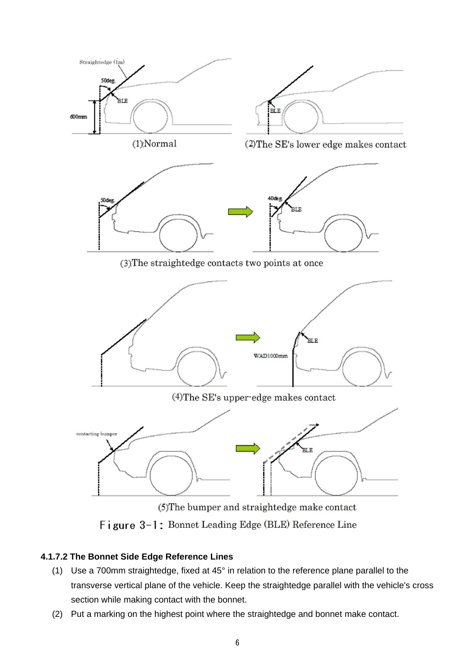

Figure 3-1: Bonnet Leading Edge (BLE) Reference Line

## **4.1.7.2 The Bonnet Side Edge Reference Lines**

- (1) Use a 700mm straightedge, fixed at 45° in relation to the reference plane parallel to the transverse vertical plane of the vehicle. Keep the straightedge parallel with the vehicle's cross section while making contact with the bonnet.
- (2) Put a marking on the highest point where the straightedge and bonnet make contact.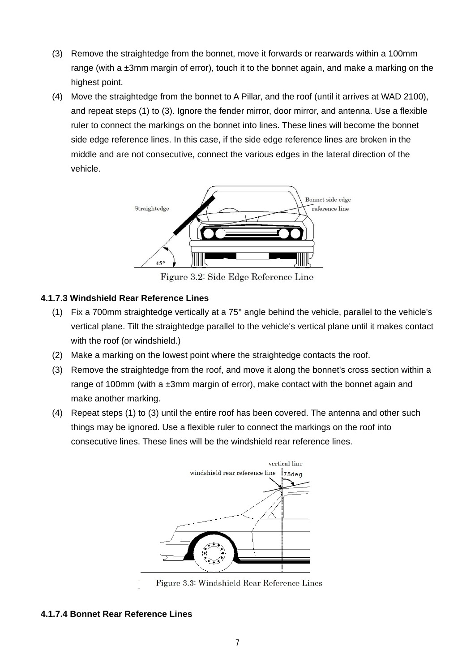- (3) Remove the straightedge from the bonnet, move it forwards or rearwards within a 100mm range (with a ±3mm margin of error), touch it to the bonnet again, and make a marking on the highest point.
- (4) Move the straightedge from the bonnet to A Pillar, and the roof (until it arrives at WAD 2100), and repeat steps (1) to (3). Ignore the fender mirror, door mirror, and antenna. Use a flexible ruler to connect the markings on the bonnet into lines. These lines will become the bonnet side edge reference lines. In this case, if the side edge reference lines are broken in the middle and are not consecutive, connect the various edges in the lateral direction of the vehicle.



Figure 3.2: Side Edge Reference Line

## **4.1.7.3 Windshield Rear Reference Lines**

- (1) Fix a 700mm straightedge vertically at a 75° angle behind the vehicle, parallel to the vehicle's vertical plane. Tilt the straightedge parallel to the vehicle's vertical plane until it makes contact with the roof (or windshield.)
- (2) Make a marking on the lowest point where the straightedge contacts the roof.
- (3) Remove the straightedge from the roof, and move it along the bonnet's cross section within a range of 100mm (with a ±3mm margin of error), make contact with the bonnet again and make another marking.
- (4) Repeat steps (1) to (3) until the entire roof has been covered. The antenna and other such things may be ignored. Use a flexible ruler to connect the markings on the roof into consecutive lines. These lines will be the windshield rear reference lines.



Figure 3.3: Windshield Rear Reference Lines

## **4.1.7.4 Bonnet Rear Reference Lines**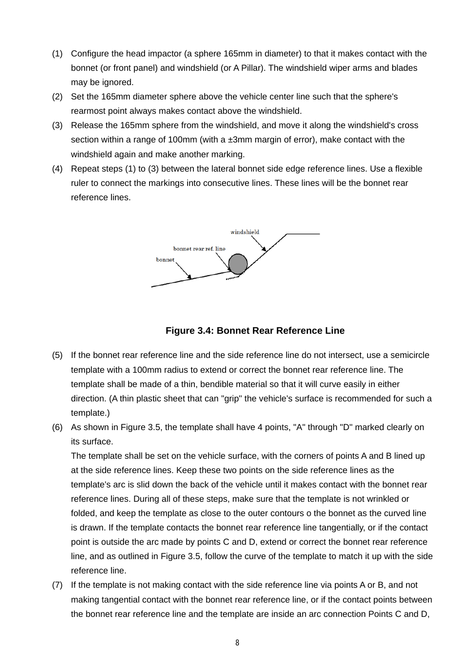- (1) Configure the head impactor (a sphere 165mm in diameter) to that it makes contact with the bonnet (or front panel) and windshield (or A Pillar). The windshield wiper arms and blades may be ignored.
- (2) Set the 165mm diameter sphere above the vehicle center line such that the sphere's rearmost point always makes contact above the windshield.
- (3) Release the 165mm sphere from the windshield, and move it along the windshield's cross section within a range of 100mm (with a ±3mm margin of error), make contact with the windshield again and make another marking.
- (4) Repeat steps (1) to (3) between the lateral bonnet side edge reference lines. Use a flexible ruler to connect the markings into consecutive lines. These lines will be the bonnet rear reference lines.





- (5) If the bonnet rear reference line and the side reference line do not intersect, use a semicircle template with a 100mm radius to extend or correct the bonnet rear reference line. The template shall be made of a thin, bendible material so that it will curve easily in either direction. (A thin plastic sheet that can "grip" the vehicle's surface is recommended for such a template.)
- (6) As shown in Figure 3.5, the template shall have 4 points, "A" through "D" marked clearly on its surface.

The template shall be set on the vehicle surface, with the corners of points A and B lined up at the side reference lines. Keep these two points on the side reference lines as the template's arc is slid down the back of the vehicle until it makes contact with the bonnet rear reference lines. During all of these steps, make sure that the template is not wrinkled or folded, and keep the template as close to the outer contours o the bonnet as the curved line is drawn. If the template contacts the bonnet rear reference line tangentially, or if the contact point is outside the arc made by points C and D, extend or correct the bonnet rear reference line, and as outlined in Figure 3.5, follow the curve of the template to match it up with the side reference line.

(7) If the template is not making contact with the side reference line via points A or B, and not making tangential contact with the bonnet rear reference line, or if the contact points between the bonnet rear reference line and the template are inside an arc connection Points C and D,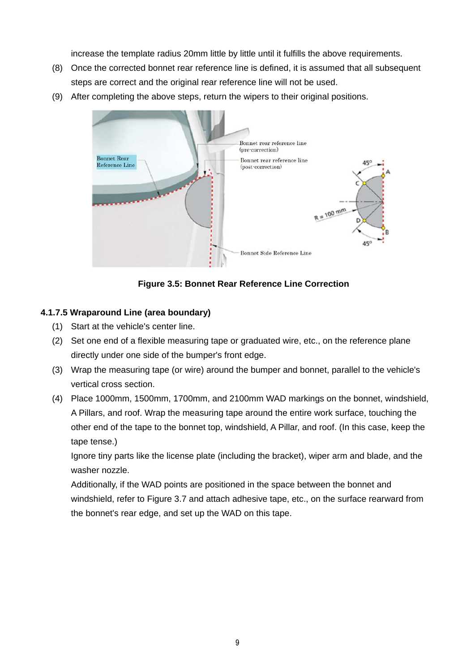increase the template radius 20mm little by little until it fulfills the above requirements.

- (8) Once the corrected bonnet rear reference line is defined, it is assumed that all subsequent steps are correct and the original rear reference line will not be used.
- (9) After completing the above steps, return the wipers to their original positions.



**Figure 3.5: Bonnet Rear Reference Line Correction** 

## **4.1.7.5 Wraparound Line (area boundary)**

- (1) Start at the vehicle's center line.
- (2) Set one end of a flexible measuring tape or graduated wire, etc., on the reference plane directly under one side of the bumper's front edge.
- (3) Wrap the measuring tape (or wire) around the bumper and bonnet, parallel to the vehicle's vertical cross section.
- (4) Place 1000mm, 1500mm, 1700mm, and 2100mm WAD markings on the bonnet, windshield, A Pillars, and roof. Wrap the measuring tape around the entire work surface, touching the other end of the tape to the bonnet top, windshield, A Pillar, and roof. (In this case, keep the tape tense.)

Ignore tiny parts like the license plate (including the bracket), wiper arm and blade, and the washer nozzle.

Additionally, if the WAD points are positioned in the space between the bonnet and windshield, refer to Figure 3.7 and attach adhesive tape, etc., on the surface rearward from the bonnet's rear edge, and set up the WAD on this tape.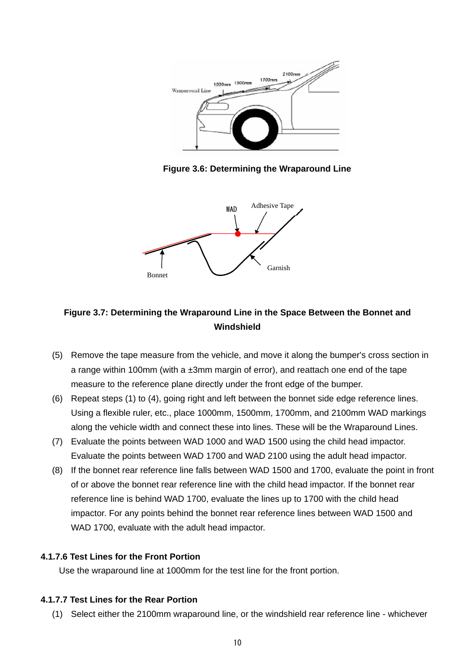

**Figure 3.6: Determining the Wraparound Line**



## **Figure 3.7: Determining the Wraparound Line in the Space Between the Bonnet and Windshield**

- (5) Remove the tape measure from the vehicle, and move it along the bumper's cross section in a range within 100mm (with a ±3mm margin of error), and reattach one end of the tape measure to the reference plane directly under the front edge of the bumper.
- (6) Repeat steps (1) to (4), going right and left between the bonnet side edge reference lines. Using a flexible ruler, etc., place 1000mm, 1500mm, 1700mm, and 2100mm WAD markings along the vehicle width and connect these into lines. These will be the Wraparound Lines.
- (7) Evaluate the points between WAD 1000 and WAD 1500 using the child head impactor. Evaluate the points between WAD 1700 and WAD 2100 using the adult head impactor.
- (8) If the bonnet rear reference line falls between WAD 1500 and 1700, evaluate the point in front of or above the bonnet rear reference line with the child head impactor. If the bonnet rear reference line is behind WAD 1700, evaluate the lines up to 1700 with the child head impactor. For any points behind the bonnet rear reference lines between WAD 1500 and WAD 1700, evaluate with the adult head impactor.

## **4.1.7.6 Test Lines for the Front Portion**

Use the wraparound line at 1000mm for the test line for the front portion.

## **4.1.7.7 Test Lines for the Rear Portion**

(1) Select either the 2100mm wraparound line, or the windshield rear reference line - whichever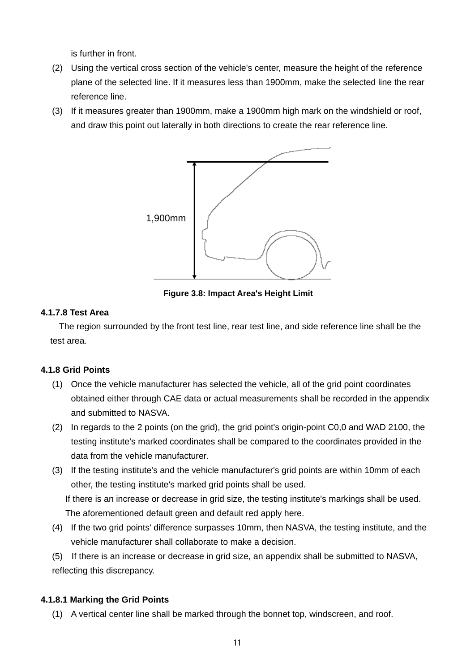is further in front.

- (2) Using the vertical cross section of the vehicle's center, measure the height of the reference plane of the selected line. If it measures less than 1900mm, make the selected line the rear reference line.
- (3) If it measures greater than 1900mm, make a 1900mm high mark on the windshield or roof, and draw this point out laterally in both directions to create the rear reference line.



**Figure 3.8: Impact Area's Height Limit**

### **4.1.7.8 Test Area**

The region surrounded by the front test line, rear test line, and side reference line shall be the test area.

## **4.1.8 Grid Points**

- (1) Once the vehicle manufacturer has selected the vehicle, all of the grid point coordinates obtained either through CAE data or actual measurements shall be recorded in the appendix and submitted to NASVA.
- (2) In regards to the 2 points (on the grid), the grid point's origin-point C0,0 and WAD 2100, the testing institute's marked coordinates shall be compared to the coordinates provided in the data from the vehicle manufacturer.
- (3) If the testing institute's and the vehicle manufacturer's grid points are within 10mm of each other, the testing institute's marked grid points shall be used. If there is an increase or decrease in grid size, the testing institute's markings shall be used.

The aforementioned default green and default red apply here.

- (4) If the two grid points' difference surpasses 10mm, then NASVA, the testing institute, and the vehicle manufacturer shall collaborate to make a decision.
- (5) If there is an increase or decrease in grid size, an appendix shall be submitted to NASVA, reflecting this discrepancy.

## **4.1.8.1 Marking the Grid Points**

(1) A vertical center line shall be marked through the bonnet top, windscreen, and roof.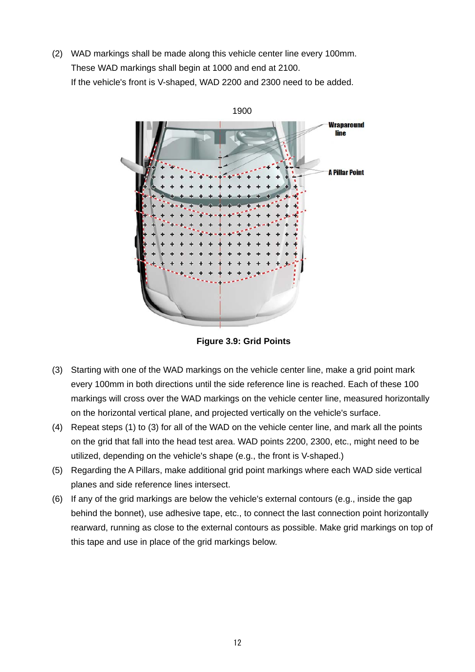(2) WAD markings shall be made along this vehicle center line every 100mm. These WAD markings shall begin at 1000 and end at 2100. If the vehicle's front is V-shaped, WAD 2200 and 2300 need to be added.



**Figure 3.9: Grid Points** 

- (3) Starting with one of the WAD markings on the vehicle center line, make a grid point mark every 100mm in both directions until the side reference line is reached. Each of these 100 markings will cross over the WAD markings on the vehicle center line, measured horizontally on the horizontal vertical plane, and projected vertically on the vehicle's surface.
- (4) Repeat steps (1) to (3) for all of the WAD on the vehicle center line, and mark all the points on the grid that fall into the head test area. WAD points 2200, 2300, etc., might need to be utilized, depending on the vehicle's shape (e.g., the front is V-shaped.)
- (5) Regarding the A Pillars, make additional grid point markings where each WAD side vertical planes and side reference lines intersect.
- (6) If any of the grid markings are below the vehicle's external contours (e.g., inside the gap behind the bonnet), use adhesive tape, etc., to connect the last connection point horizontally rearward, running as close to the external contours as possible. Make grid markings on top of this tape and use in place of the grid markings below.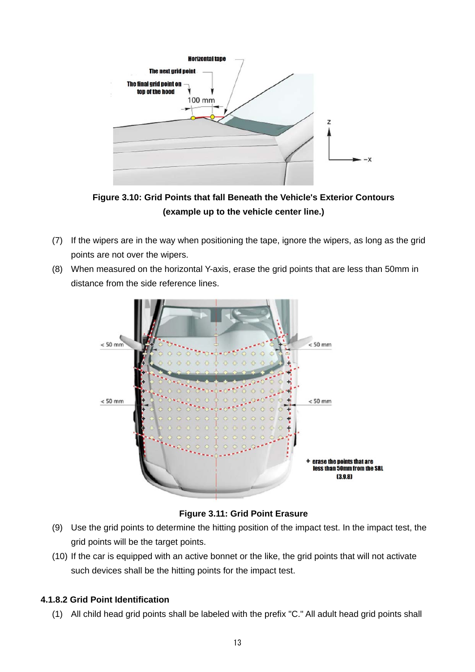

**Figure 3.10: Grid Points that fall Beneath the Vehicle's Exterior Contours (example up to the vehicle center line.)** 

- (7) If the wipers are in the way when positioning the tape, ignore the wipers, as long as the grid points are not over the wipers.
- (8) When measured on the horizontal Y-axis, erase the grid points that are less than 50mm in distance from the side reference lines.



**Figure 3.11: Grid Point Erasure** 

- (9) Use the grid points to determine the hitting position of the impact test. In the impact test, the grid points will be the target points.
- (10) If the car is equipped with an active bonnet or the like, the grid points that will not activate such devices shall be the hitting points for the impact test.

## **4.1.8.2 Grid Point Identification**

(1) All child head grid points shall be labeled with the prefix "C." All adult head grid points shall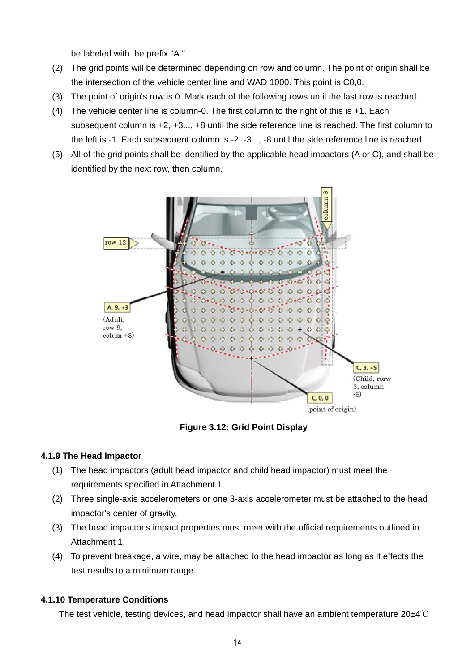be labeled with the prefix "A."

- (2) The grid points will be determined depending on row and column. The point of origin shall be the intersection of the vehicle center line and WAD 1000. This point is C0,0.
- (3) The point of origin's row is 0. Mark each of the following rows until the last row is reached.
- (4) The vehicle center line is column-0. The first column to the right of this is +1. Each subsequent column is +2, +3..., +8 until the side reference line is reached. The first column to the left is -1. Each subsequent column is -2, -3..., -8 until the side reference line is reached.
- (5) All of the grid points shall be identified by the applicable head impactors (A or C), and shall be identified by the next row, then column.



**Figure 3.12: Grid Point Display** 

#### **4.1.9 The Head Impactor**

- (1) The head impactors (adult head impactor and child head impactor) must meet the requirements specified in Attachment 1.
- (2) Three single-axis accelerometers or one 3-axis accelerometer must be attached to the head impactor's center of gravity.
- (3) The head impactor's impact properties must meet with the official requirements outlined in Attachment 1.
- (4) To prevent breakage, a wire, may be attached to the head impactor as long as it effects the test results to a minimum range.

## **4.1.10 Temperature Conditions**

The test vehicle, testing devices, and head impactor shall have an ambient temperature 20±4℃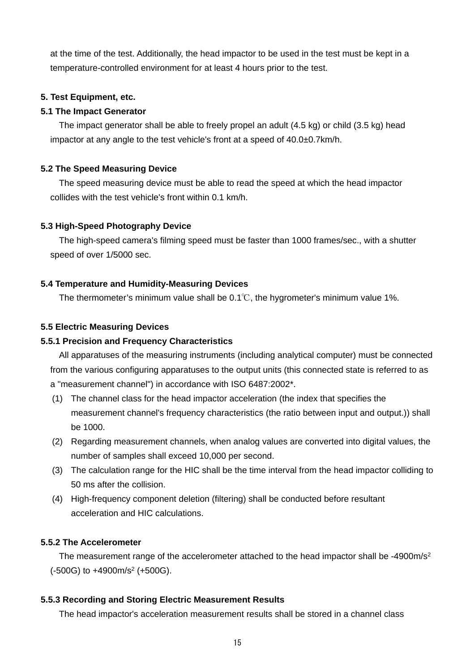at the time of the test. Additionally, the head impactor to be used in the test must be kept in a temperature-controlled environment for at least 4 hours prior to the test.

## **5. Test Equipment, etc.**

#### **5.1 The Impact Generator**

The impact generator shall be able to freely propel an adult (4.5 kg) or child (3.5 kg) head impactor at any angle to the test vehicle's front at a speed of 40.0±0.7km/h.

#### **5.2 The Speed Measuring Device**

The speed measuring device must be able to read the speed at which the head impactor collides with the test vehicle's front within 0.1 km/h.

### **5.3 High-Speed Photography Device**

The high-speed camera's filming speed must be faster than 1000 frames/sec., with a shutter speed of over 1/5000 sec.

### **5.4 Temperature and Humidity-Measuring Devices**

The thermometer's minimum value shall be  $0.1^{\circ}$ , the hygrometer's minimum value 1%.

### **5.5 Electric Measuring Devices**

### **5.5.1 Precision and Frequency Characteristics**

All apparatuses of the measuring instruments (including analytical computer) must be connected from the various configuring apparatuses to the output units (this connected state is referred to as a "measurement channel") in accordance with ISO 6487:2002\*.

- (1) The channel class for the head impactor acceleration (the index that specifies the measurement channel's frequency characteristics (the ratio between input and output.)) shall be 1000.
- (2) Regarding measurement channels, when analog values are converted into digital values, the number of samples shall exceed 10,000 per second.
- (3) The calculation range for the HIC shall be the time interval from the head impactor colliding to 50 ms after the collision.
- (4) High-frequency component deletion (filtering) shall be conducted before resultant acceleration and HIC calculations.

## **5.5.2 The Accelerometer**

The measurement range of the accelerometer attached to the head impactor shall be -4900m/s<sup>2</sup> (-500G) to +4900m/s2 (+500G).

## **5.5.3 Recording and Storing Electric Measurement Results**

The head impactor's acceleration measurement results shall be stored in a channel class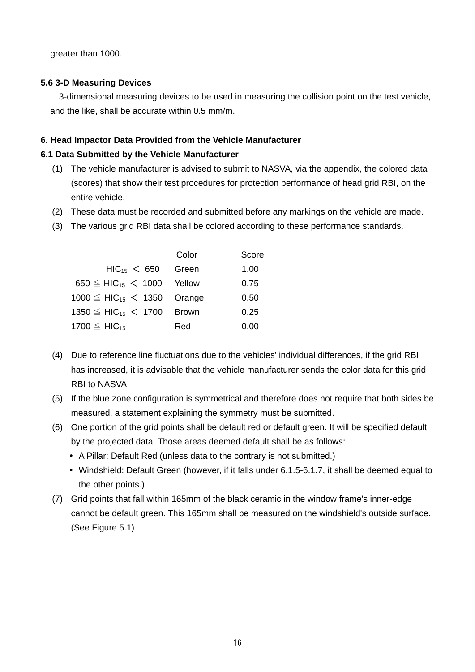greater than 1000.

#### **5.6 3-D Measuring Devices**

3-dimensional measuring devices to be used in measuring the collision point on the test vehicle, and the like, shall be accurate within 0.5 mm/m.

#### **6. Head Impactor Data Provided from the Vehicle Manufacturer**

#### **6.1 Data Submitted by the Vehicle Manufacturer**

- (1) The vehicle manufacturer is advised to submit to NASVA, via the appendix, the colored data (scores) that show their test procedures for protection performance of head grid RBI, on the entire vehicle.
- (2) These data must be recorded and submitted before any markings on the vehicle are made.
- (3) The various grid RBI data shall be colored according to these performance standards.

|                                              | Color | Score |
|----------------------------------------------|-------|-------|
| $HIC_{15} < 650$                             | Green | 1.00  |
| $650 \leq HIC_{15} < 1000$ Yellow            |       | 0.75  |
| $1000 \leq HIC_{15} < 1350$ Orange           |       | 0.50  |
| 1350 $\leq$ HIC <sub>15</sub> $<$ 1700 Brown |       | 0.25  |
| 1700 $\leq$ HIC <sub>15</sub>                | Red   | 0.00  |

- (4) Due to reference line fluctuations due to the vehicles' individual differences, if the grid RBI has increased, it is advisable that the vehicle manufacturer sends the color data for this grid RBI to NASVA.
- (5) If the blue zone configuration is symmetrical and therefore does not require that both sides be measured, a statement explaining the symmetry must be submitted.
- (6) One portion of the grid points shall be default red or default green. It will be specified default by the projected data. Those areas deemed default shall be as follows:
	- A Pillar: Default Red (unless data to the contrary is not submitted.)
	- Windshield: Default Green (however, if it falls under 6.1.5-6.1.7, it shall be deemed equal to the other points.)
- (7) Grid points that fall within 165mm of the black ceramic in the window frame's inner-edge cannot be default green. This 165mm shall be measured on the windshield's outside surface. (See Figure 5.1)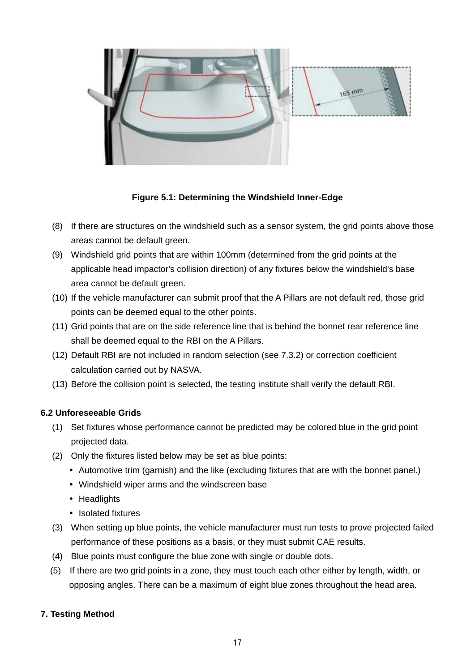

**Figure 5.1: Determining the Windshield Inner-Edge** 

- (8) If there are structures on the windshield such as a sensor system, the grid points above those areas cannot be default green.
- (9) Windshield grid points that are within 100mm (determined from the grid points at the applicable head impactor's collision direction) of any fixtures below the windshield's base area cannot be default green.
- (10) If the vehicle manufacturer can submit proof that the A Pillars are not default red, those grid points can be deemed equal to the other points.
- (11) Grid points that are on the side reference line that is behind the bonnet rear reference line shall be deemed equal to the RBI on the A Pillars.
- (12) Default RBI are not included in random selection (see 7.3.2) or correction coefficient calculation carried out by NASVA.
- (13) Before the collision point is selected, the testing institute shall verify the default RBI.

#### **6.2 Unforeseeable Grids**

- (1) Set fixtures whose performance cannot be predicted may be colored blue in the grid point projected data.
- (2) Only the fixtures listed below may be set as blue points:
	- Automotive trim (garnish) and the like (excluding fixtures that are with the bonnet panel.)
	- Windshield wiper arms and the windscreen base
	- Headlights
	- Isolated fixtures
- (3) When setting up blue points, the vehicle manufacturer must run tests to prove projected failed performance of these positions as a basis, or they must submit CAE results.
- (4) Blue points must configure the blue zone with single or double dots.
- (5) If there are two grid points in a zone, they must touch each other either by length, width, or opposing angles. There can be a maximum of eight blue zones throughout the head area.

#### **7. Testing Method**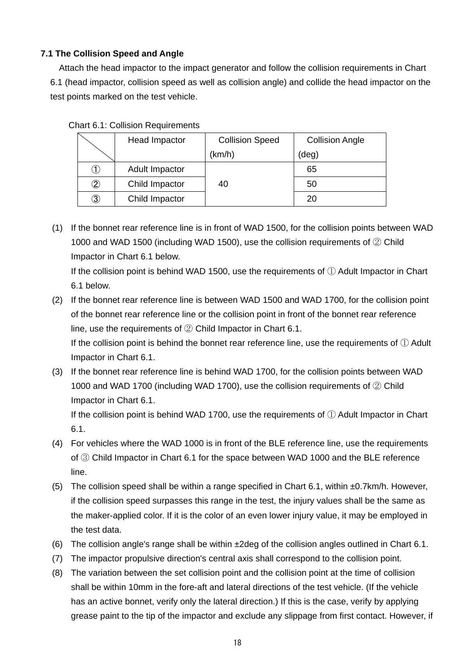## **7.1 The Collision Speed and Angle**

Attach the head impactor to the impact generator and follow the collision requirements in Chart 6.1 (head impactor, collision speed as well as collision angle) and collide the head impactor on the test points marked on the test vehicle.

| Chart 6.1: Collision Requirements |                |                        |                        |  |  |  |  |  |  |  |  |
|-----------------------------------|----------------|------------------------|------------------------|--|--|--|--|--|--|--|--|
|                                   | Head Impactor  | <b>Collision Speed</b> | <b>Collision Angle</b> |  |  |  |  |  |  |  |  |
|                                   |                | (km/h)                 | (deg)                  |  |  |  |  |  |  |  |  |
| (1)                               | Adult Impactor |                        | 65                     |  |  |  |  |  |  |  |  |
| $^\copyright$                     | Child Impactor | 40                     | 50                     |  |  |  |  |  |  |  |  |
| $\circled{3}$                     | Child Impactor |                        | 20                     |  |  |  |  |  |  |  |  |

 $Charf 6.1:$  Collision

(1) If the bonnet rear reference line is in front of WAD 1500, for the collision points between WAD 1000 and WAD 1500 (including WAD 1500), use the collision requirements of ② Child Impactor in Chart 6.1 below. If the collision point is behind WAD 1500, use the requirements of ① Adult Impactor in Chart 6.1 below.

- (2) If the bonnet rear reference line is between WAD 1500 and WAD 1700, for the collision point of the bonnet rear reference line or the collision point in front of the bonnet rear reference line, use the requirements of ② Child Impactor in Chart 6.1. If the collision point is behind the bonnet rear reference line, use the requirements of ① Adult Impactor in Chart 6.1.
- (3) If the bonnet rear reference line is behind WAD 1700, for the collision points between WAD 1000 and WAD 1700 (including WAD 1700), use the collision requirements of ② Child Impactor in Chart 6.1.

If the collision point is behind WAD 1700, use the requirements of ① Adult Impactor in Chart 6.1.

- (4) For vehicles where the WAD 1000 is in front of the BLE reference line, use the requirements of ③ Child Impactor in Chart 6.1 for the space between WAD 1000 and the BLE reference line.
- (5) The collision speed shall be within a range specified in Chart 6.1, within ±0.7km/h. However, if the collision speed surpasses this range in the test, the injury values shall be the same as the maker-applied color. If it is the color of an even lower injury value, it may be employed in the test data.
- (6) The collision angle's range shall be within  $\pm 2$ deg of the collision angles outlined in Chart 6.1.
- (7) The impactor propulsive direction's central axis shall correspond to the collision point.
- (8) The variation between the set collision point and the collision point at the time of collision shall be within 10mm in the fore-aft and lateral directions of the test vehicle. (If the vehicle has an active bonnet, verify only the lateral direction.) If this is the case, verify by applying grease paint to the tip of the impactor and exclude any slippage from first contact. However, if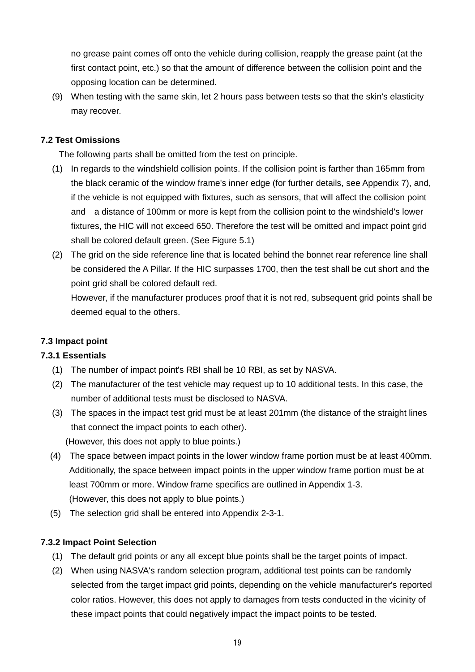no grease paint comes off onto the vehicle during collision, reapply the grease paint (at the first contact point, etc.) so that the amount of difference between the collision point and the opposing location can be determined.

(9) When testing with the same skin, let 2 hours pass between tests so that the skin's elasticity may recover.

## **7.2 Test Omissions**

The following parts shall be omitted from the test on principle.

- (1) In regards to the windshield collision points. If the collision point is farther than 165mm from the black ceramic of the window frame's inner edge (for further details, see Appendix 7), and, if the vehicle is not equipped with fixtures, such as sensors, that will affect the collision point and a distance of 100mm or more is kept from the collision point to the windshield's lower fixtures, the HIC will not exceed 650. Therefore the test will be omitted and impact point grid shall be colored default green. (See Figure 5.1)
- (2) The grid on the side reference line that is located behind the bonnet rear reference line shall be considered the A Pillar. If the HIC surpasses 1700, then the test shall be cut short and the point grid shall be colored default red.

However, if the manufacturer produces proof that it is not red, subsequent grid points shall be deemed equal to the others.

## **7.3 Impact point**

## **7.3.1 Essentials**

- (1) The number of impact point's RBI shall be 10 RBI, as set by NASVA.
- (2) The manufacturer of the test vehicle may request up to 10 additional tests. In this case, the number of additional tests must be disclosed to NASVA.
- (3) The spaces in the impact test grid must be at least 201mm (the distance of the straight lines that connect the impact points to each other).

(However, this does not apply to blue points.)

- (4) The space between impact points in the lower window frame portion must be at least 400mm. Additionally, the space between impact points in the upper window frame portion must be at least 700mm or more. Window frame specifics are outlined in Appendix 1-3. (However, this does not apply to blue points.)
- (5) The selection grid shall be entered into Appendix 2-3-1.

## **7.3.2 Impact Point Selection**

- (1) The default grid points or any all except blue points shall be the target points of impact.
- (2) When using NASVA's random selection program, additional test points can be randomly selected from the target impact grid points, depending on the vehicle manufacturer's reported color ratios. However, this does not apply to damages from tests conducted in the vicinity of these impact points that could negatively impact the impact points to be tested.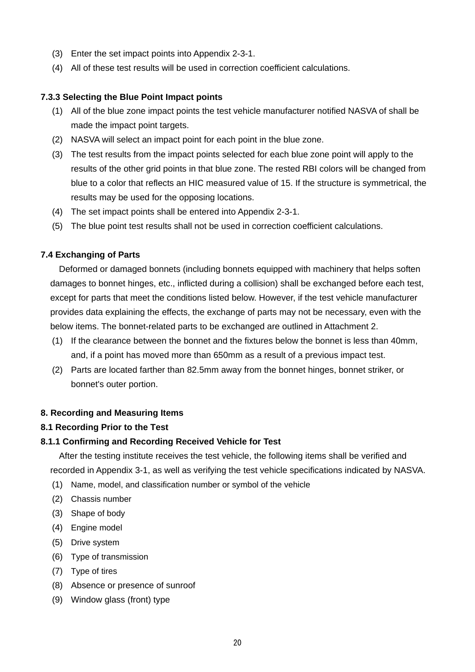- (3) Enter the set impact points into Appendix 2-3-1.
- (4) All of these test results will be used in correction coefficient calculations.

#### **7.3.3 Selecting the Blue Point Impact points**

- (1) All of the blue zone impact points the test vehicle manufacturer notified NASVA of shall be made the impact point targets.
- (2) NASVA will select an impact point for each point in the blue zone.
- (3) The test results from the impact points selected for each blue zone point will apply to the results of the other grid points in that blue zone. The rested RBI colors will be changed from blue to a color that reflects an HIC measured value of 15. If the structure is symmetrical, the results may be used for the opposing locations.
- (4) The set impact points shall be entered into Appendix 2-3-1.
- (5) The blue point test results shall not be used in correction coefficient calculations.

## **7.4 Exchanging of Parts**

Deformed or damaged bonnets (including bonnets equipped with machinery that helps soften damages to bonnet hinges, etc., inflicted during a collision) shall be exchanged before each test, except for parts that meet the conditions listed below. However, if the test vehicle manufacturer provides data explaining the effects, the exchange of parts may not be necessary, even with the below items. The bonnet-related parts to be exchanged are outlined in Attachment 2.

- (1) If the clearance between the bonnet and the fixtures below the bonnet is less than 40mm, and, if a point has moved more than 650mm as a result of a previous impact test.
- (2) Parts are located farther than 82.5mm away from the bonnet hinges, bonnet striker, or bonnet's outer portion.

#### **8. Recording and Measuring Items**

#### **8.1 Recording Prior to the Test**

#### **8.1.1 Confirming and Recording Received Vehicle for Test**

After the testing institute receives the test vehicle, the following items shall be verified and recorded in Appendix 3-1, as well as verifying the test vehicle specifications indicated by NASVA.

- (1) Name, model, and classification number or symbol of the vehicle
- (2) Chassis number
- (3) Shape of body
- (4) Engine model
- (5) Drive system
- (6) Type of transmission
- (7) Type of tires
- (8) Absence or presence of sunroof
- (9) Window glass (front) type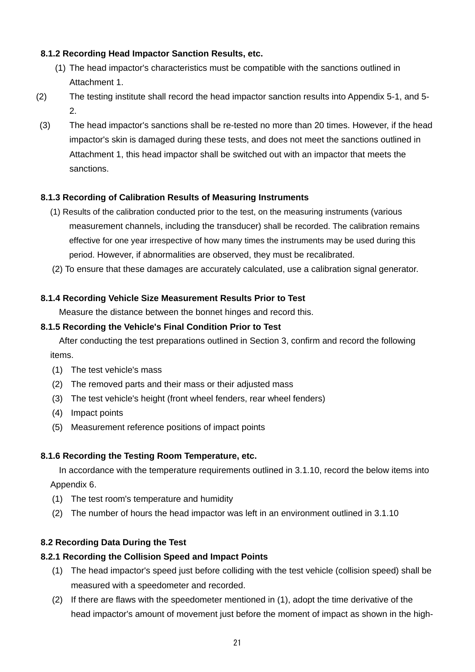## **8.1.2 Recording Head Impactor Sanction Results, etc.**

- (1) The head impactor's characteristics must be compatible with the sanctions outlined in Attachment 1.
- (2) The testing institute shall record the head impactor sanction results into Appendix 5-1, and 5- 2.
- (3) The head impactor's sanctions shall be re-tested no more than 20 times. However, if the head impactor's skin is damaged during these tests, and does not meet the sanctions outlined in Attachment 1, this head impactor shall be switched out with an impactor that meets the sanctions.

## **8.1.3 Recording of Calibration Results of Measuring Instruments**

- (1) Results of the calibration conducted prior to the test, on the measuring instruments (various measurement channels, including the transducer) shall be recorded. The calibration remains effective for one year irrespective of how many times the instruments may be used during this period. However, if abnormalities are observed, they must be recalibrated.
- (2) To ensure that these damages are accurately calculated, use a calibration signal generator.

## **8.1.4 Recording Vehicle Size Measurement Results Prior to Test**

Measure the distance between the bonnet hinges and record this.

### **8.1.5 Recording the Vehicle's Final Condition Prior to Test**

After conducting the test preparations outlined in Section 3, confirm and record the following items.

- (1) The test vehicle's mass
- (2) The removed parts and their mass or their adjusted mass
- (3) The test vehicle's height (front wheel fenders, rear wheel fenders)
- (4) Impact points
- (5) Measurement reference positions of impact points

## **8.1.6 Recording the Testing Room Temperature, etc.**

In accordance with the temperature requirements outlined in 3.1.10, record the below items into Appendix 6.

- (1) The test room's temperature and humidity
- (2) The number of hours the head impactor was left in an environment outlined in 3.1.10

## **8.2 Recording Data During the Test**

## **8.2.1 Recording the Collision Speed and Impact Points**

- (1) The head impactor's speed just before colliding with the test vehicle (collision speed) shall be measured with a speedometer and recorded.
- (2) If there are flaws with the speedometer mentioned in (1), adopt the time derivative of the head impactor's amount of movement just before the moment of impact as shown in the high-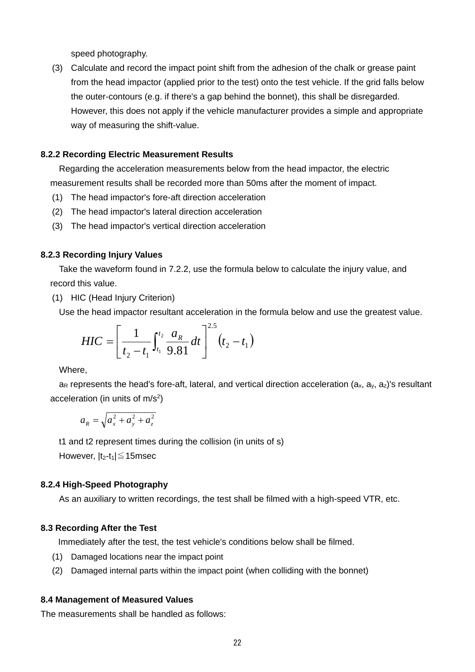speed photography.

(3) Calculate and record the impact point shift from the adhesion of the chalk or grease paint from the head impactor (applied prior to the test) onto the test vehicle. If the grid falls below the outer-contours (e.g. if there's a gap behind the bonnet), this shall be disregarded. However, this does not apply if the vehicle manufacturer provides a simple and appropriate way of measuring the shift-value.

#### **8.2.2 Recording Electric Measurement Results**

Regarding the acceleration measurements below from the head impactor, the electric measurement results shall be recorded more than 50ms after the moment of impact.

- (1) The head impactor's fore-aft direction acceleration
- (2) The head impactor's lateral direction acceleration
- (3) The head impactor's vertical direction acceleration

#### **8.2.3 Recording Injury Values**

Take the waveform found in 7.2.2, use the formula below to calculate the injury value, and record this value.

(1) HIC (Head Injury Criterion)

Use the head impactor resultant acceleration in the formula below and use the greatest value.

$$
HIC = \left[\frac{1}{t_2 - t_1} \int_{t_1}^{t_2} \frac{a_R}{9.81} dt\right]^{2.5} (t_2 - t_1)
$$

Where,

 $a_R$  represents the head's fore-aft, lateral, and vertical direction acceleration  $(a_x, a_y, a_z)$ 's resultant acceleration (in units of  $m/s<sup>2</sup>$ )

$$
a_R = \sqrt{a_x^2 + a_y^2 + a_z^2}
$$

t1 and t2 represent times during the collision (in units of s)

However,  $|t_2-t_1| \leq 15$ msec

#### **8.2.4 High-Speed Photography**

As an auxiliary to written recordings, the test shall be filmed with a high-speed VTR, etc.

#### **8.3 Recording After the Test**

Immediately after the test, the test vehicle's conditions below shall be filmed.

- (1) Damaged locations near the impact point
- (2) Damaged internal parts within the impact point (when colliding with the bonnet)

## **8.4 Management of Measured Values**

The measurements shall be handled as follows: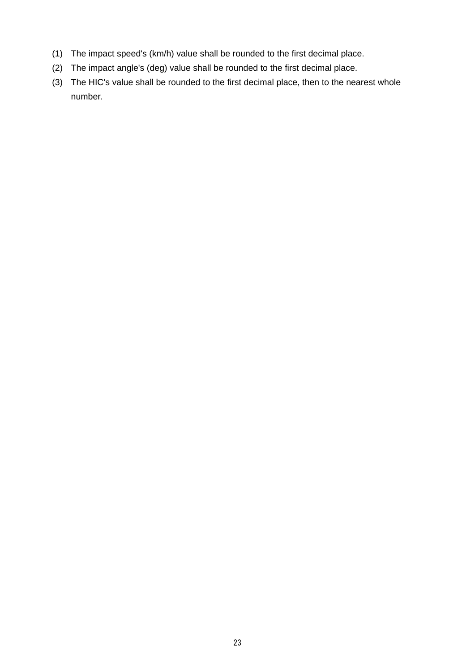- (1) The impact speed's (km/h) value shall be rounded to the first decimal place.
- (2) The impact angle's (deg) value shall be rounded to the first decimal place.
- (3) The HIC's value shall be rounded to the first decimal place, then to the nearest whole number.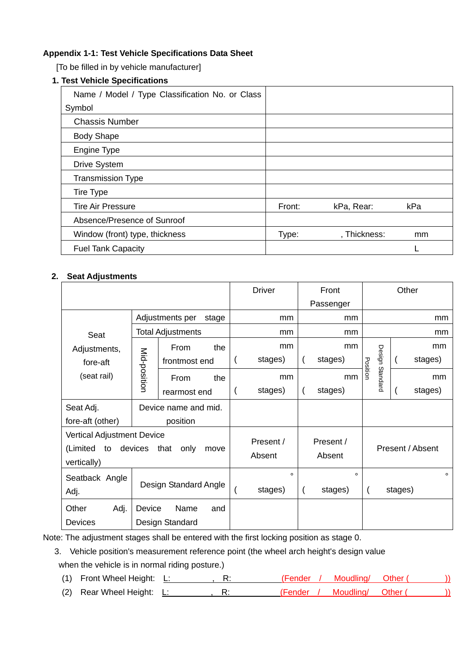### **Appendix 1-1: Test Vehicle Specifications Data Sheet**

[To be filled in by vehicle manufacturer]

## **1. Test Vehicle Specifications**

| Name / Model / Type Classification No. or Class |        |              |     |
|-------------------------------------------------|--------|--------------|-----|
| Symbol                                          |        |              |     |
| <b>Chassis Number</b>                           |        |              |     |
| <b>Body Shape</b>                               |        |              |     |
| Engine Type                                     |        |              |     |
| <b>Drive System</b>                             |        |              |     |
| <b>Transmission Type</b>                        |        |              |     |
| Tire Type                                       |        |              |     |
| <b>Tire Air Pressure</b>                        | Front: | kPa, Rear:   | kPa |
| Absence/Presence of Sunroof                     |        |              |     |
| Window (front) type, thickness                  | Type:  | , Thickness: | mm  |
| <b>Fuel Tank Capacity</b>                       |        |              |     |

### **2. Seat Adjustments**

|                                 |                                                                      | <b>Driver</b>           |     |  | Front              |  | Other               |                  |          |         |         |
|---------------------------------|----------------------------------------------------------------------|-------------------------|-----|--|--------------------|--|---------------------|------------------|----------|---------|---------|
|                                 |                                                                      |                         |     |  | Passenger          |  |                     |                  |          |         |         |
|                                 | Adjustments per                                                      |                         | mm  |  | mm                 |  |                     |                  | mm       |         |         |
| Seat                            |                                                                      | Total Adjustments       |     |  | mm                 |  | mm                  |                  |          |         | mm      |
| Adjustments,                    |                                                                      | From                    | the |  | mm                 |  | mm                  |                  |          |         | mm      |
| fore-aft                        | Mid-position                                                         | frontmost end           |     |  | stages)            |  | stages)             | Position         | Design   |         | stages) |
| (seat rail)                     |                                                                      | From                    | the |  | mm                 |  | mm                  |                  | Standard |         | mm      |
|                                 |                                                                      | rearmost end            |     |  | stages)            |  | stages)             |                  |          |         | stages) |
| Seat Adj.                       |                                                                      | Device name and mid.    |     |  |                    |  |                     |                  |          |         |         |
| fore-aft (other)                |                                                                      | position                |     |  |                    |  |                     |                  |          |         |         |
| (Limited<br>to<br>vertically)   | <b>Vertical Adjustment Device</b><br>devices<br>that<br>only<br>move |                         |     |  |                    |  | Present /<br>Absent | Present / Absent |          |         |         |
| Seatback Angle<br>Adj.          |                                                                      | Design Standard Angle   |     |  | $\circ$<br>stages) |  | $\circ$<br>stages)  |                  |          | stages) | $\circ$ |
| Other<br>Adj.<br><b>Devices</b> | Device                                                               | Name<br>Design Standard | and |  |                    |  |                     |                  |          |         |         |

Note: The adjustment stages shall be entered with the first locking position as stage 0.

3. Vehicle position's measurement reference point (the wheel arch height's design value when the vehicle is in normal riding posture.)

(1) Front Wheel Height: L: , R: (Fender / Moudling/ Other ( ))

(2) Rear Wheel Height: L: , R: (Fender / Moudling/ Other ( ))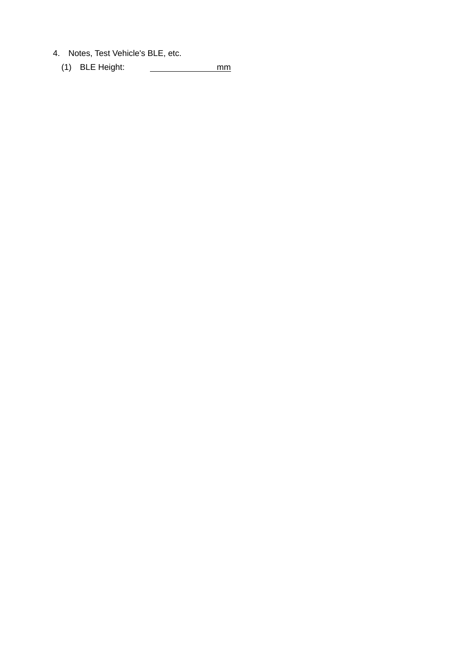- 4. Notes, Test Vehicle's BLE, etc.
	- (1) BLE Height: mm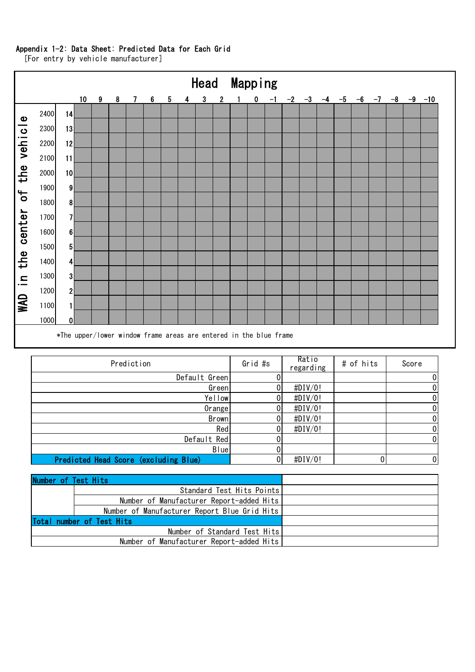#### Appendix 1-2: Data Sheet: Predicted Data for Each Grid

Head Mapping 10 9 8 7 6 5 4 3 2 1 0 -1 -2 -3 -4 -5 -6 -7 -8 -9 -10 <sup>14</sup> N/A N/A N/A N/A N/A N/A N/A N/A N/A N/A N/A N/A N/A N/A N/A N/A N/A N/A N/A N/A N/A WAD in the center of the vehicle WAD in the center of the vehicle <sup>13</sup> N/A N/A N/A N/A N/A N/A N/A N/A N/A N/A N/A N/A N/A N/A N/A N/A N/A N/A N/A N/A N/A <sup>12</sup> N/A N/A N/A N/A N/A N/A N/A N/A N/A N/A N/A N/A N/A N/A N/A N/A N/A N/A N/A N/A N/A <sup>11</sup> N/A N/A N/A N/A N/A N/A N/A N/A N/A N/A N/A N/A N/A N/A N/A N/A N/A N/A N/A N/A N/A <sup>10</sup> N/A N/A N/A N/A N/A N/A N/A N/A N/A N/A N/A N/A N/A N/A N/A N/A N/A N/A N/A N/A N/A <sup>9</sup> N/A N/A N/A N/A N/A N/A N/A N/A N/A N/A N/A N/A N/A N/A N/A N/A N/A N/A N/A N/A N/A <sup>8</sup> N/A N/A N/A N/A N/A N/A N/A N/A N/A N/A N/A N/A N/A N/A N/A N/A N/A N/A N/A N/A N/A <sup>7</sup> N/A N/A N/A N/A N/A N/A N/A N/A N/A N/A N/A N/A N/A N/A N/A N/A N/A N/A N/A N/A N/A <sup>6</sup> N/A N/A N/A N/A N/A N/A N/A N/A N/A N/A N/A N/A N/A N/A N/A N/A N/A N/A N/A N/A N/A <sup>5</sup> N/A N/A N/A N/A N/A N/A N/A N/A N/A N/A N/A N/A N/A N/A N/A N/A N/A N/A N/A N/A N/A <sup>4</sup> N/A N/A N/A N/A N/A N/A N/A N/A N/A N/A N/A N/A N/A N/A N/A N/A N/A N/A N/A N/A N/A <sup>3</sup> N/A N/A N/A N/A N/A N/A N/A N/A N/A N/A N/A N/A N/A N/A N/A N/A N/A N/A N/A N/A N/A <sup>2</sup> N/A N/A N/A N/A N/A N/A N/A N/A N/A N/A N/A N/A N/A N/A N/A N/A N/A N/A N/A N/A N/A <sup>1</sup> N/A N/A N/A N/A N/A N/A N/A N/A N/A N/A N/A N/A N/A N/A N/A N/A N/A N/A N/A N/A N/A <sup>0</sup> N/A N/A N/A N/A N/A N/A N/A N/A N/A N/A N/A N/A N/A N/A N/A N/A N/A N/A N/A N/A N/A \*The upper/lower window frame areas are entered in the blue frame

[For entry by vehicle manufacturer]

| Prediction                            | Grid #s | Ratio<br>regarding | # of hits | Score          |
|---------------------------------------|---------|--------------------|-----------|----------------|
| Default Green                         |         |                    |           | 0              |
| Green                                 |         | $\sharp$ DIV/0!    |           | 0              |
| Yellow                                |         | $\sharp$ DIV/0!    |           | 0              |
| Orange                                |         | $\sharp$ DIV/0!    |           | 0              |
| Brown                                 |         | $\sharp$ DIV/0!    |           | 0              |
| Red                                   |         | $\sharp$ DIV/0!    |           | 0              |
| Default Red                           |         |                    |           | 0              |
| Blue                                  |         |                    |           |                |
| Predicted Head Score (excluding Blue) |         | # $DIV/0!$         | 0         | $\overline{0}$ |

| Number of Test Hits |                                              |  |
|---------------------|----------------------------------------------|--|
|                     | Standard Test Hits Points                    |  |
|                     | Number of Manufacturer Report-added Hits     |  |
|                     | Number of Manufacturer Report Blue Grid Hits |  |
|                     | Total number of Test Hits                    |  |
|                     | Number of Standard Test Hits                 |  |
|                     | Number of Manufacturer Report-added Hits     |  |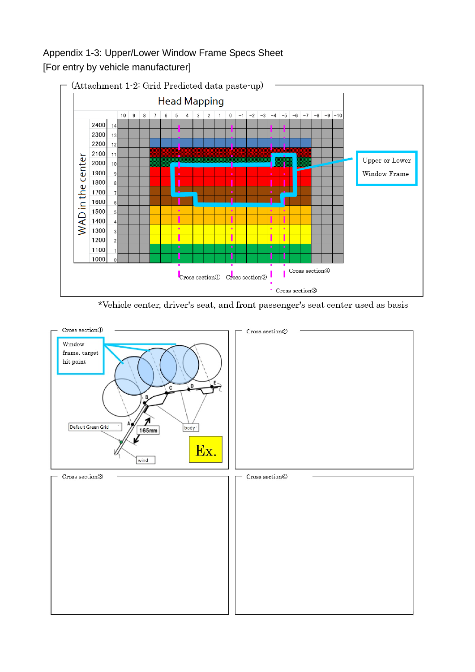# Appendix 1-3: Upper/Lower Window Frame Specs Sheet [For entry by vehicle manufacturer]



\*Vehicle center, driver's seat, and front passenger's seat center used as basis

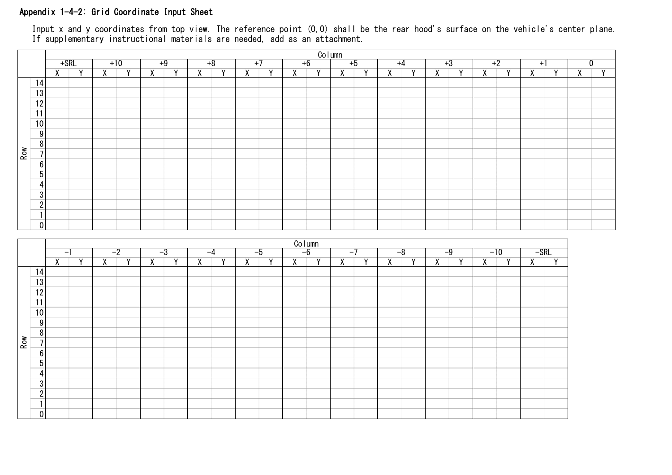### Appendix 1-4-2: Grid Coordinate Input Sheet

Input x and y coordinates from top view. The reference point (0,0) shall be the rear hood's surface on the vehicle's center plane. If supplementary instructional materials are needed, add as an attachment.

|     |                  |      |                |                |                |                |                |                |                |                |                |                |                            | <u>Column</u>  |                |                |                |   |                |                |                |                |                |                |                |
|-----|------------------|------|----------------|----------------|----------------|----------------|----------------|----------------|----------------|----------------|----------------|----------------|----------------------------|----------------|----------------|----------------|----------------|---|----------------|----------------|----------------|----------------|----------------|----------------|----------------|
|     |                  |      | $+$ SRL        |                | $+10$          |                | $+9$           |                | $+8$           |                | $+7$           |                | $+6$                       |                | $+5$           |                | $+4$           |   | $+3$           |                | $+2$           |                | $+1$           | $\overline{0}$ |                |
|     |                  |      | $X$ $Y$        | $\overline{X}$ | $\overline{Y}$ | $\overline{X}$ | $\overline{Y}$ | $\overline{X}$ | $\overline{Y}$ | $\overline{X}$ | $\overline{Y}$ | $\overline{X}$ | Y -                        | $\overline{X}$ | $\overline{Y}$ | $\overline{X}$ | $\overline{Y}$ | X | $\overline{Y}$ | $\overline{X}$ | $\overline{Y}$ | $\overline{X}$ | $\overline{Y}$ | $\overline{X}$ | $\overline{Y}$ |
|     | 14               |      |                |                |                |                |                |                |                |                |                |                |                            |                |                |                |                |   |                |                |                |                |                |                |                |
|     | 13               |      |                |                |                |                |                |                |                |                |                |                |                            |                |                |                |                |   |                |                |                |                |                |                |                |
|     | 12               |      |                |                |                |                |                |                |                |                |                |                |                            |                |                |                |                |   |                |                |                |                |                |                |                |
|     | 11               |      |                |                |                |                |                |                |                |                |                |                |                            |                |                |                |                |   |                |                |                |                |                |                |                |
|     |                  |      |                |                |                |                |                |                |                |                |                |                |                            |                |                |                |                |   |                |                |                |                |                |                |                |
|     | 10               |      |                |                |                |                |                |                |                |                |                |                |                            |                |                |                |                |   |                |                |                |                |                |                |                |
|     | $9\,$            |      |                |                |                |                |                |                |                |                |                |                |                            |                |                |                |                |   |                |                |                |                |                |                |                |
|     | $\, 8$           |      |                |                |                |                |                |                |                |                |                |                |                            |                |                |                |                |   |                |                |                |                |                |                |                |
| Row | $\overline{7}$   |      |                |                |                |                |                |                |                |                |                |                |                            |                |                |                |                |   |                |                |                |                |                |                |                |
|     | $6 \mid$         |      |                |                |                |                |                |                |                |                |                |                |                            |                |                |                |                |   |                |                |                |                |                |                |                |
|     | $5\phantom{.0}$  |      |                |                |                |                |                |                |                |                |                |                |                            |                |                |                |                |   |                |                |                |                |                |                |                |
|     | $\overline{4}$   |      |                |                |                |                |                |                |                |                |                |                |                            |                |                |                |                |   |                |                |                |                |                |                |                |
|     | $\mathbf{3}$     |      |                |                |                |                |                |                |                |                |                |                |                            |                |                |                |                |   |                |                |                |                |                |                |                |
|     | $\sqrt{2}$       |      |                |                |                |                |                |                |                |                |                |                |                            |                |                |                |                |   |                |                |                |                |                |                |                |
|     | $\mathbf{1}$     |      |                |                |                |                |                |                |                |                |                |                |                            |                |                |                |                |   |                |                |                |                |                |                |                |
|     | $\overline{0}$   |      |                |                |                |                |                |                |                |                |                |                |                            |                |                |                |                |   |                |                |                |                |                |                |                |
|     |                  |      |                |                |                |                |                |                |                |                |                |                |                            |                |                |                |                |   |                |                |                |                |                |                |                |
|     |                  |      |                |                |                |                |                |                |                |                |                |                |                            |                |                |                |                |   |                |                |                |                |                |                |                |
|     |                  | $-1$ |                |                | $-2$           |                | $-3$           |                | $-4$           | $-5$           |                |                | $\frac{\text{Column}}{-6}$ |                | $-7$           |                | $-8$           |   | $-9$           |                | $-10$          |                | $-SRL$         |                |                |
|     |                  | X    | $\overline{Y}$ | $\overline{X}$ | $\overline{Y}$ | $\overline{X}$ | $\overline{Y}$ | $\overline{X}$ | $\overline{Y}$ | $\overline{X}$ | $\overline{Y}$ | $\overline{X}$ | $\overline{Y}$             | $\overline{X}$ | $\overline{Y}$ | $\overline{X}$ | $\overline{Y}$ | X | $\overline{Y}$ | $\overline{X}$ | $\overline{Y}$ | $\overline{X}$ | $\overline{Y}$ |                |                |
|     | 14               |      |                |                |                |                |                |                |                |                |                |                |                            |                |                |                |                |   |                |                |                |                |                |                |                |
|     | 13               |      |                |                |                |                |                |                |                |                |                |                |                            |                |                |                |                |   |                |                |                |                |                |                |                |
|     | 12               |      |                |                |                |                |                |                |                |                |                |                |                            |                |                |                |                |   |                |                |                |                |                |                |                |
|     | 11               |      |                |                |                |                |                |                |                |                |                |                |                            |                |                |                |                |   |                |                |                |                |                |                |                |
|     | $10$             |      |                |                |                |                |                |                |                |                |                |                |                            |                |                |                |                |   |                |                |                |                |                |                |                |
|     | 9                |      |                |                |                |                |                |                |                |                |                |                |                            |                |                |                |                |   |                |                |                |                |                |                |                |
|     |                  |      |                |                |                |                |                |                |                |                |                |                |                            |                |                |                |                |   |                |                |                |                |                |                |                |
|     |                  |      |                |                |                |                |                |                |                |                |                |                |                            |                |                |                |                |   |                |                |                |                |                |                |                |
|     | $\boldsymbol{8}$ |      |                |                |                |                |                |                |                |                |                |                |                            |                |                |                |                |   |                |                |                |                |                |                |                |
| Row | $\overline{7}$   |      |                |                |                |                |                |                |                |                |                |                |                            |                |                |                |                |   |                |                |                |                |                |                |                |
|     | $\sqrt{6}$       |      |                |                |                |                |                |                |                |                |                |                |                            |                |                |                |                |   |                |                |                |                |                |                |                |
|     | $5\,$            |      |                |                |                |                |                |                |                |                |                |                |                            |                |                |                |                |   |                |                |                |                |                |                |                |
|     | 4                |      |                |                |                |                |                |                |                |                |                |                |                            |                |                |                |                |   |                |                |                |                |                |                |                |
|     | $\sqrt{3}$       |      |                |                |                |                |                |                |                |                |                |                |                            |                |                |                |                |   |                |                |                |                |                |                |                |
|     | $\boldsymbol{2}$ |      |                |                |                |                |                |                |                |                |                |                |                            |                |                |                |                |   |                |                |                |                |                |                |                |
|     | $\mathbf{1}$     |      |                |                |                |                |                |                |                |                |                |                |                            |                |                |                |                |   |                |                |                |                |                |                |                |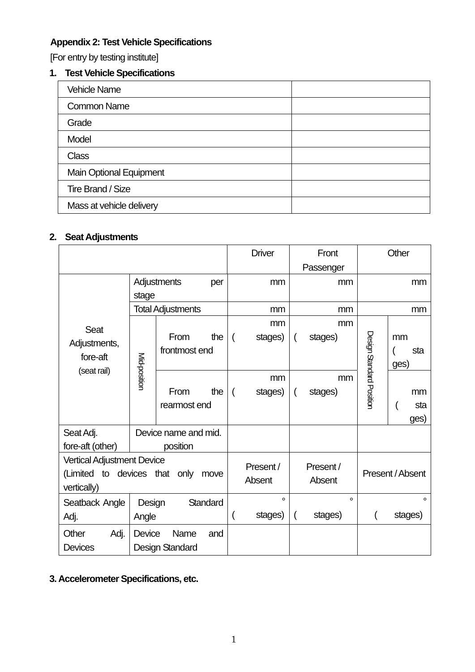# **Appendix 2: Test Vehicle Specifications**

[For entry by testing institute]

## **1. Test Vehicle Specifications**

| <b>Vehicle Name</b>            |  |
|--------------------------------|--|
| <b>Common Name</b>             |  |
| Grade                          |  |
| Model                          |  |
| <b>Class</b>                   |  |
| <b>Main Optional Equipment</b> |  |
| Tire Brand / Size              |  |
| Mass at vehicle delivery       |  |

## **2. Seat Adjustments**

|                                                                                                 |                             |                                                                                       |                    |                |                     |                | Front               | Other                    |                   |  |
|-------------------------------------------------------------------------------------------------|-----------------------------|---------------------------------------------------------------------------------------|--------------------|----------------|---------------------|----------------|---------------------|--------------------------|-------------------|--|
|                                                                                                 |                             |                                                                                       |                    |                |                     |                | Passenger           |                          |                   |  |
|                                                                                                 | Adjustments<br>per<br>stage |                                                                                       |                    |                | mm                  | mm             |                     | mm                       |                   |  |
|                                                                                                 |                             | <b>Total Adjustments</b>                                                              |                    |                | mm                  |                | mm                  | mm                       |                   |  |
| <b>Seat</b><br>Adjustments,<br>fore-aft                                                         | Mid-position                | mm<br>mm<br>From<br>the<br>$\overline{ }$<br>stages)<br>stages)<br>(<br>frontmost end |                    |                | mm<br>sta<br>ges)   |                |                     |                          |                   |  |
| (seat rail)                                                                                     |                             | From<br>rearmost end                                                                  | the                | $\overline{ }$ | mm<br>stages)       | $\overline{ }$ | mm<br>stages)       | Design Standard Position | mm<br>sta<br>ges) |  |
| Seat Adj.<br>fore-aft (other)                                                                   |                             | Device name and mid.<br>position                                                      |                    |                |                     |                |                     |                          |                   |  |
| <b>Vertical Adjustment Device</b><br>(Limited to<br>devices that<br>only<br>move<br>vertically) |                             |                                                                                       |                    |                | Present /<br>Absent |                | Present /<br>Absent |                          | Present / Absent  |  |
| Seatback Angle<br>Standard<br>Design<br>Adj.<br>Angle                                           |                             |                                                                                       | $\circ$<br>stages) | $\overline{ }$ | $\circ$<br>stages)  |                | $\circ$<br>stages)  |                          |                   |  |
| Other<br>Adj.<br><b>Devices</b>                                                                 | Device                      | Name<br>Design Standard                                                               | and                |                |                     |                |                     |                          |                   |  |

## **3. Accelerometer Specifications, etc.**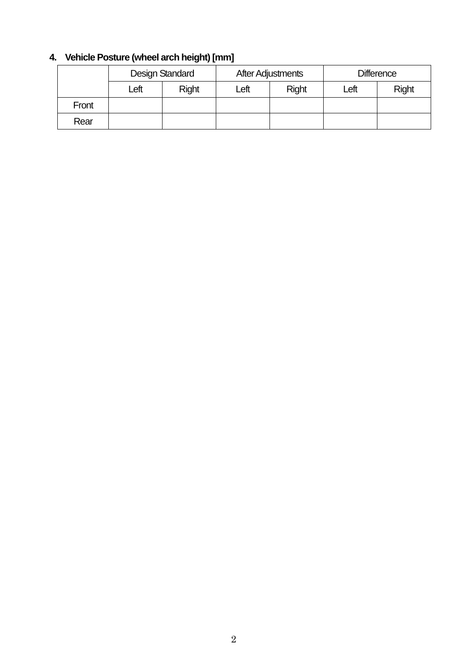# **4. Vehicle Posture (wheel arch height) [mm]**

|       |      | Design Standard |      | <b>After Adjustments</b> | <b>Difference</b> |              |  |  |
|-------|------|-----------------|------|--------------------------|-------------------|--------------|--|--|
|       | Left | <b>Right</b>    | Left | <b>Right</b>             | Left              | <b>Right</b> |  |  |
| Front |      |                 |      |                          |                   |              |  |  |
| Rear  |      |                 |      |                          |                   |              |  |  |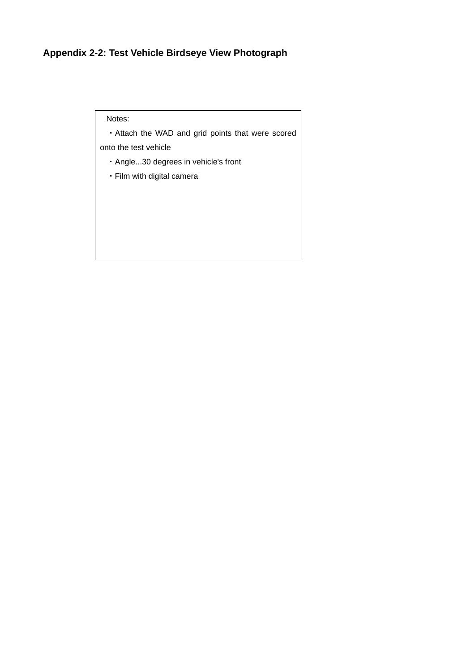# **Appendix 2-2: Test Vehicle Birdseye View Photograph**

Notes:

・Attach the WAD and grid points that were scored onto the test vehicle

- ・Angle...30 degrees in vehicle's front
- ・Film with digital camera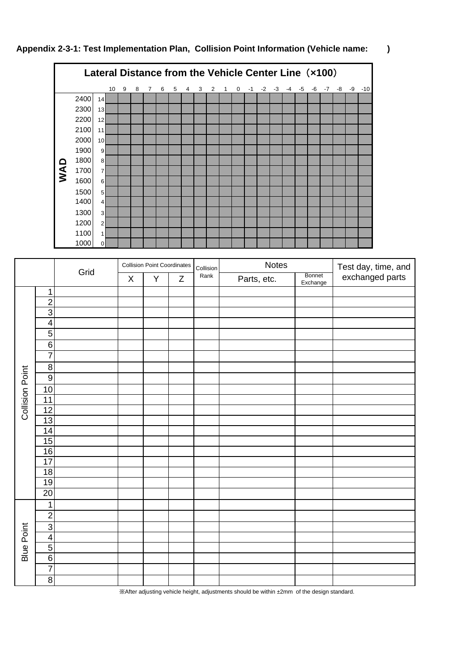



|                        |                 |      |             | <b>Collision Point Coordinates</b> |   | Collision | Notes       | Test day, time, and |                 |
|------------------------|-----------------|------|-------------|------------------------------------|---|-----------|-------------|---------------------|-----------------|
|                        |                 | Grid | $\mathsf X$ | Υ                                  | Z | Rank      | Parts, etc. | Bonnet<br>Exchange  | exchanged parts |
|                        | $\mathbf 1$     |      |             |                                    |   |           |             |                     |                 |
|                        | $\overline{2}$  |      |             |                                    |   |           |             |                     |                 |
|                        | $\overline{3}$  |      |             |                                    |   |           |             |                     |                 |
|                        | $\overline{4}$  |      |             |                                    |   |           |             |                     |                 |
|                        | $\overline{5}$  |      |             |                                    |   |           |             |                     |                 |
|                        | $\overline{6}$  |      |             |                                    |   |           |             |                     |                 |
|                        | $\overline{7}$  |      |             |                                    |   |           |             |                     |                 |
|                        | $\overline{8}$  |      |             |                                    |   |           |             |                     |                 |
| <b>Collision Point</b> | $\overline{9}$  |      |             |                                    |   |           |             |                     |                 |
|                        | 10              |      |             |                                    |   |           |             |                     |                 |
|                        | 11              |      |             |                                    |   |           |             |                     |                 |
|                        | $\overline{12}$ |      |             |                                    |   |           |             |                     |                 |
|                        | $\overline{13}$ |      |             |                                    |   |           |             |                     |                 |
|                        | $\overline{14}$ |      |             |                                    |   |           |             |                     |                 |
|                        | 15              |      |             |                                    |   |           |             |                     |                 |
|                        | 16              |      |             |                                    |   |           |             |                     |                 |
|                        | $\overline{17}$ |      |             |                                    |   |           |             |                     |                 |
|                        | 18              |      |             |                                    |   |           |             |                     |                 |
|                        | 19              |      |             |                                    |   |           |             |                     |                 |
|                        | 20              |      |             |                                    |   |           |             |                     |                 |
|                        | $\mathbf 1$     |      |             |                                    |   |           |             |                     |                 |
|                        | $\overline{2}$  |      |             |                                    |   |           |             |                     |                 |
|                        | $\overline{3}$  |      |             |                                    |   |           |             |                     |                 |
|                        | $\overline{4}$  |      |             |                                    |   |           |             |                     |                 |
| <b>Blue Point</b>      | $\overline{5}$  |      |             |                                    |   |           |             |                     |                 |
|                        | $\overline{6}$  |      |             |                                    |   |           |             |                     |                 |
|                        | $\overline{7}$  |      |             |                                    |   |           |             |                     |                 |
|                        | 8               |      |             |                                    |   |           |             |                     |                 |

※After adjusting vehicle height, adjustments should be within ±2mm of the design standard.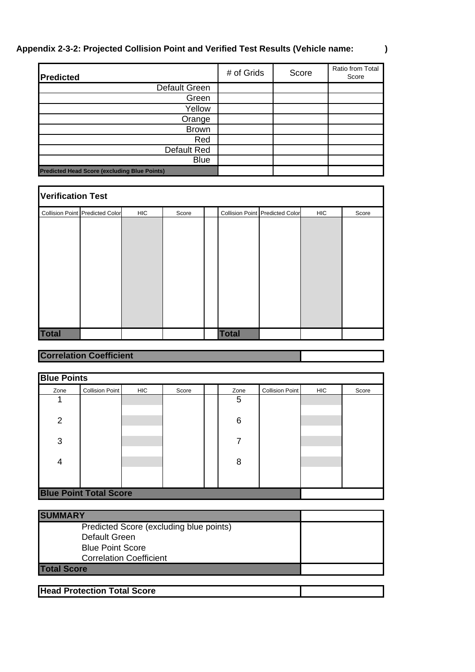## **Appendix 2-3-2: Projected Collision Point and Verified Test Results (Vehicle name: )**

| <b>Predicted</b>                                    | # of Grids | Score | Ratio from Total<br>Score |
|-----------------------------------------------------|------------|-------|---------------------------|
| Default Green                                       |            |       |                           |
| Green                                               |            |       |                           |
| Yellow                                              |            |       |                           |
| Orange                                              |            |       |                           |
| <b>Brown</b>                                        |            |       |                           |
| Red                                                 |            |       |                           |
| Default Red                                         |            |       |                           |
| <b>Blue</b>                                         |            |       |                           |
| <b>Predicted Head Score (excluding Blue Points)</b> |            |       |                           |

| <b>Verification Test</b> |                                        |            |       |  |              |                                        |            |       |
|--------------------------|----------------------------------------|------------|-------|--|--------------|----------------------------------------|------------|-------|
|                          | <b>Collision Point Predicted Color</b> | <b>HIC</b> | Score |  |              | <b>Collision Point Predicted Color</b> | <b>HIC</b> | Score |
|                          |                                        |            |       |  |              |                                        |            |       |
|                          |                                        |            |       |  |              |                                        |            |       |
|                          |                                        |            |       |  |              |                                        |            |       |
|                          |                                        |            |       |  |              |                                        |            |       |
|                          |                                        |            |       |  |              |                                        |            |       |
|                          |                                        |            |       |  |              |                                        |            |       |
|                          |                                        |            |       |  |              |                                        |            |       |
|                          |                                        |            |       |  |              |                                        |            |       |
|                          |                                        |            |       |  |              |                                        |            |       |
| <b>Total</b>             |                                        |            |       |  | <b>Total</b> |                                        |            |       |

# **Correlation Coefficient**

| <b>Blue Points</b>            |                 |            |       |  |      |                        |            |       |  |
|-------------------------------|-----------------|------------|-------|--|------|------------------------|------------|-------|--|
| Zone                          | Collision Point | <b>HIC</b> | Score |  | Zone | <b>Collision Point</b> | <b>HIC</b> | Score |  |
| 1                             |                 |            |       |  | 5    |                        |            |       |  |
| $\overline{2}$                |                 |            |       |  | 6    |                        |            |       |  |
| 3                             |                 |            |       |  | 7    |                        |            |       |  |
| $\overline{4}$                |                 |            |       |  | 8    |                        |            |       |  |
|                               |                 |            |       |  |      |                        |            |       |  |
| <b>Blue Point Total Score</b> |                 |            |       |  |      |                        |            |       |  |

| <b>SUMMARY</b>                                                                      |  |
|-------------------------------------------------------------------------------------|--|
| Predicted Score (excluding blue points)<br>Default Green<br><b>Blue Point Score</b> |  |
| <b>Correlation Coefficient</b>                                                      |  |
| <b>Total Score</b>                                                                  |  |
| <b>Head Protection Total Score</b>                                                  |  |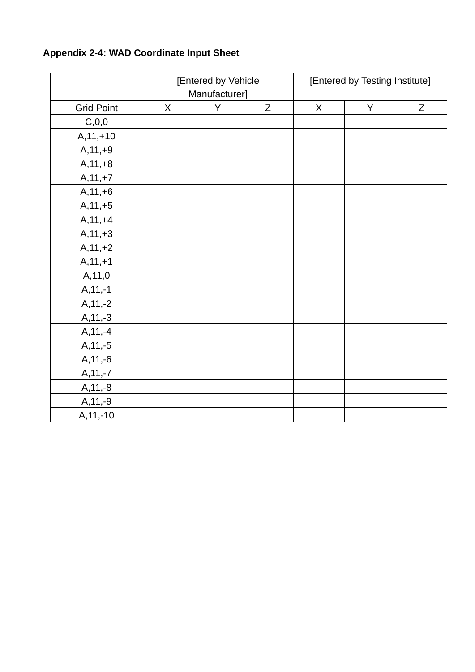|                   |             | [Entered by Vehicle<br>Manufacturer] |             | [Entered by Testing Institute] |   |             |  |
|-------------------|-------------|--------------------------------------|-------------|--------------------------------|---|-------------|--|
| <b>Grid Point</b> | $\mathsf X$ | Y                                    | $\mathsf Z$ | $\mathsf{X}$                   | Y | $\mathsf Z$ |  |
| C, 0, 0           |             |                                      |             |                                |   |             |  |
| $A, 11, +10$      |             |                                      |             |                                |   |             |  |
| $A, 11, +9$       |             |                                      |             |                                |   |             |  |
| $A, 11, +8$       |             |                                      |             |                                |   |             |  |
| $A, 11, +7$       |             |                                      |             |                                |   |             |  |
| $A, 11, +6$       |             |                                      |             |                                |   |             |  |
| $A, 11, +5$       |             |                                      |             |                                |   |             |  |
| $A, 11, +4$       |             |                                      |             |                                |   |             |  |
| $A, 11, +3$       |             |                                      |             |                                |   |             |  |
| $A, 11, +2$       |             |                                      |             |                                |   |             |  |
| $A, 11, +1$       |             |                                      |             |                                |   |             |  |
| A, 11, 0          |             |                                      |             |                                |   |             |  |
| $A, 11, -1$       |             |                                      |             |                                |   |             |  |
| $A, 11, -2$       |             |                                      |             |                                |   |             |  |
| $A, 11, -3$       |             |                                      |             |                                |   |             |  |
| $A, 11, -4$       |             |                                      |             |                                |   |             |  |
| $A, 11, -5$       |             |                                      |             |                                |   |             |  |
| $A, 11, -6$       |             |                                      |             |                                |   |             |  |
| $A, 11, -7$       |             |                                      |             |                                |   |             |  |
| $A, 11, -8$       |             |                                      |             |                                |   |             |  |
| $A, 11, -9$       |             |                                      |             |                                |   |             |  |
| $A, 11, -10$      |             |                                      |             |                                |   |             |  |

# **Appendix 2-4: WAD Coordinate Input Sheet**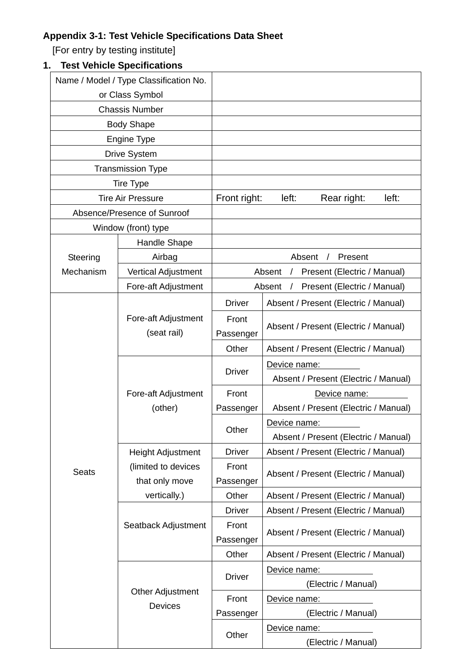# **Appendix 3-1: Test Vehicle Specifications Data Sheet**

[For entry by testing institute]

# **1. Test Vehicle Specifications**

|              | Name / Model / Type Classification No. |               |                                                     |  |  |  |  |
|--------------|----------------------------------------|---------------|-----------------------------------------------------|--|--|--|--|
|              | or Class Symbol                        |               |                                                     |  |  |  |  |
|              | <b>Chassis Number</b>                  |               |                                                     |  |  |  |  |
|              | <b>Body Shape</b>                      |               |                                                     |  |  |  |  |
|              | Engine Type                            |               |                                                     |  |  |  |  |
|              | <b>Drive System</b>                    |               |                                                     |  |  |  |  |
|              | <b>Transmission Type</b>               |               |                                                     |  |  |  |  |
|              | <b>Tire Type</b>                       |               |                                                     |  |  |  |  |
|              | <b>Tire Air Pressure</b>               | Front right:  | left:<br>left:<br>Rear right:                       |  |  |  |  |
|              | Absence/Presence of Sunroof            |               |                                                     |  |  |  |  |
|              | Window (front) type                    |               |                                                     |  |  |  |  |
|              | <b>Handle Shape</b>                    |               |                                                     |  |  |  |  |
| Steering     | Airbag                                 |               | Absent<br>Present                                   |  |  |  |  |
| Mechanism    | Vertical Adjustment                    |               | Present (Electric / Manual)<br>Absent<br>$\sqrt{2}$ |  |  |  |  |
|              | Fore-aft Adjustment                    |               | Present (Electric / Manual)<br>Absent<br>$\prime$   |  |  |  |  |
|              |                                        | <b>Driver</b> | Absent / Present (Electric / Manual)                |  |  |  |  |
|              | Fore-aft Adjustment                    | Front         |                                                     |  |  |  |  |
|              | (seat rail)                            | Passenger     | Absent / Present (Electric / Manual)                |  |  |  |  |
|              |                                        | Other         | Absent / Present (Electric / Manual)                |  |  |  |  |
|              |                                        |               | Device name:                                        |  |  |  |  |
|              |                                        | <b>Driver</b> | Absent / Present (Electric / Manual)                |  |  |  |  |
|              | Fore-aft Adjustment                    | Front         | Device name:                                        |  |  |  |  |
|              | (other)                                | Passenger     | Absent / Present (Electric / Manual)                |  |  |  |  |
|              |                                        |               | Device name:                                        |  |  |  |  |
|              |                                        | Other         | Absent / Present (Electric / Manual)                |  |  |  |  |
|              | <b>Height Adjustment</b>               | <b>Driver</b> | Absent / Present (Electric / Manual)                |  |  |  |  |
| <b>Seats</b> | (limited to devices                    | Front         |                                                     |  |  |  |  |
|              | that only move                         | Passenger     | Absent / Present (Electric / Manual)                |  |  |  |  |
|              | vertically.)                           | Other         | Absent / Present (Electric / Manual)                |  |  |  |  |
|              |                                        | <b>Driver</b> | Absent / Present (Electric / Manual)                |  |  |  |  |
|              | Seatback Adjustment                    | Front         |                                                     |  |  |  |  |
|              |                                        | Passenger     | Absent / Present (Electric / Manual)                |  |  |  |  |
|              |                                        | Other         | Absent / Present (Electric / Manual)                |  |  |  |  |
|              |                                        |               | Device name:                                        |  |  |  |  |
|              |                                        | <b>Driver</b> | (Electric / Manual)                                 |  |  |  |  |
|              | Other Adjustment<br>Devices            | Front         | Device name:                                        |  |  |  |  |
|              |                                        | Passenger     | (Electric / Manual)                                 |  |  |  |  |
|              |                                        |               | Device name:                                        |  |  |  |  |
|              |                                        | Other         | (Electric / Manual)                                 |  |  |  |  |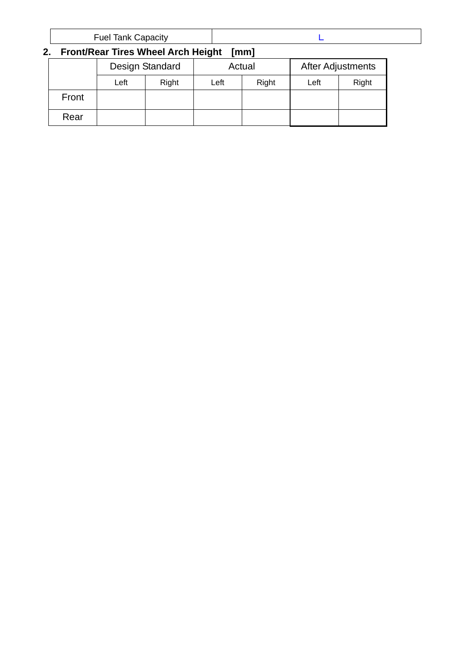| ⊑uel<br>Tank Capacity |
|-----------------------|
|-----------------------|

# **2. Front/Rear Tires Wheel Arch Height [mm]**

|       |      | Design Standard |      | Actual | After Adjustments |       |  |
|-------|------|-----------------|------|--------|-------------------|-------|--|
|       | Left | Right           | Left | Right  | Left              | Right |  |
| Front |      |                 |      |        |                   |       |  |
| Rear  |      |                 |      |        |                   |       |  |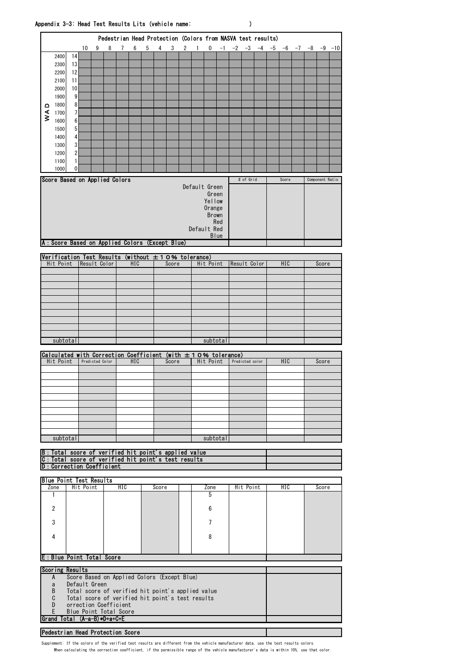|        |                                                                                          |        |               |                 |   |                                                                                                       |     |   |       |       |              |                |                 |     | Pedestrian Head Protection (Colors from NASVA test results) |                 |    |      |            |                      |                 |  |
|--------|------------------------------------------------------------------------------------------|--------|---------------|-----------------|---|-------------------------------------------------------------------------------------------------------|-----|---|-------|-------|--------------|----------------|-----------------|-----|-------------------------------------------------------------|-----------------|----|------|------------|----------------------|-----------------|--|
|        |                                                                                          |        | 10            | 9               | 8 | 7                                                                                                     | 6   | 5 | 4     | 3     | $\mathbf{2}$ | $\overline{1}$ | 0               |     | $-1$ $-2$ $-3$                                              |                 | -4 | $-5$ | -6         | $-7$ $-8$ $-9$ $-10$ |                 |  |
|        | 2400                                                                                     | 14     |               |                 |   |                                                                                                       |     |   |       |       |              |                |                 |     |                                                             |                 |    |      |            |                      |                 |  |
|        | 2300                                                                                     | 13     |               |                 |   |                                                                                                       |     |   |       |       |              |                |                 |     |                                                             |                 |    |      |            |                      |                 |  |
|        | 2200                                                                                     | 12     |               |                 |   |                                                                                                       |     |   |       |       |              |                |                 |     |                                                             |                 |    |      |            |                      |                 |  |
|        | 2100                                                                                     | 11     |               |                 |   |                                                                                                       |     |   |       |       |              |                |                 |     |                                                             |                 |    |      |            |                      |                 |  |
|        | 2000                                                                                     | 10     |               |                 |   |                                                                                                       |     |   |       |       |              |                |                 |     |                                                             |                 |    |      |            |                      |                 |  |
|        | 1900                                                                                     | 9      |               |                 |   |                                                                                                       |     |   |       |       |              |                |                 |     |                                                             |                 |    |      |            |                      |                 |  |
| ۵      | 1800<br>1700                                                                             | 8<br>7 |               |                 |   |                                                                                                       |     |   |       |       |              |                |                 |     |                                                             |                 |    |      |            |                      |                 |  |
| $\leq$ | 1600                                                                                     | 6      |               |                 |   |                                                                                                       |     |   |       |       |              |                |                 |     |                                                             |                 |    |      |            |                      |                 |  |
|        | 1500                                                                                     | 5      |               |                 |   |                                                                                                       |     |   |       |       |              |                |                 |     |                                                             |                 |    |      |            |                      |                 |  |
|        | 1400                                                                                     | 4      |               |                 |   |                                                                                                       |     |   |       |       |              |                |                 |     |                                                             |                 |    |      |            |                      |                 |  |
|        | 1300                                                                                     | 3      |               |                 |   |                                                                                                       |     |   |       |       |              |                |                 |     |                                                             |                 |    |      |            |                      |                 |  |
|        | 1200                                                                                     | 2      |               |                 |   |                                                                                                       |     |   |       |       |              |                |                 |     |                                                             |                 |    |      |            |                      |                 |  |
|        | 1100<br>1000                                                                             | 1<br>0 |               |                 |   |                                                                                                       |     |   |       |       |              |                |                 |     |                                                             |                 |    |      |            |                      |                 |  |
|        |                                                                                          |        |               |                 |   |                                                                                                       |     |   |       |       |              |                |                 |     |                                                             |                 |    |      |            |                      |                 |  |
|        | Score Based on Applied Colors                                                            |        |               |                 |   |                                                                                                       |     |   |       |       |              |                | Default Green   |     |                                                             | # of Grid       |    |      | Score      |                      | Component Ratio |  |
|        |                                                                                          |        |               |                 |   |                                                                                                       |     |   |       |       |              |                | Green           |     |                                                             |                 |    |      |            |                      |                 |  |
|        |                                                                                          |        |               |                 |   |                                                                                                       |     |   |       |       |              |                | Yellow          |     |                                                             |                 |    |      |            |                      |                 |  |
|        |                                                                                          |        |               |                 |   |                                                                                                       |     |   |       |       |              |                | Orange<br>Brown |     |                                                             |                 |    |      |            |                      |                 |  |
|        |                                                                                          |        |               |                 |   |                                                                                                       |     |   |       |       |              |                |                 | Red |                                                             |                 |    |      |            |                      |                 |  |
|        |                                                                                          |        |               |                 |   |                                                                                                       |     |   |       |       |              |                | Default Red     |     |                                                             |                 |    |      |            |                      |                 |  |
|        | A: Score Based on Applied Colors (Except Blue)                                           |        |               |                 |   |                                                                                                       |     |   |       |       |              |                | <b>Blue</b>     |     |                                                             |                 |    |      |            |                      |                 |  |
|        |                                                                                          |        |               |                 |   |                                                                                                       |     |   |       |       |              |                |                 |     |                                                             |                 |    |      |            |                      |                 |  |
|        | Verification Test Results (without $\pm$ 10% tolerance)                                  |        |               |                 |   |                                                                                                       |     |   |       |       |              |                |                 |     |                                                             |                 |    |      |            |                      |                 |  |
|        | Hit Point                                                                                |        | Result Color  |                 |   |                                                                                                       | HIC |   |       | Score |              |                | Hit Point       |     | Result Color                                                |                 |    |      | HIC        |                      | Score           |  |
|        |                                                                                          |        |               |                 |   |                                                                                                       |     |   |       |       |              |                |                 |     |                                                             |                 |    |      |            |                      |                 |  |
|        |                                                                                          |        |               |                 |   |                                                                                                       |     |   |       |       |              |                |                 |     |                                                             |                 |    |      |            |                      |                 |  |
|        |                                                                                          |        |               |                 |   |                                                                                                       |     |   |       |       |              |                |                 |     |                                                             |                 |    |      |            |                      |                 |  |
|        |                                                                                          |        |               |                 |   |                                                                                                       |     |   |       |       |              |                |                 |     |                                                             |                 |    |      |            |                      |                 |  |
|        |                                                                                          |        |               |                 |   |                                                                                                       |     |   |       |       |              |                |                 |     |                                                             |                 |    |      |            |                      |                 |  |
|        |                                                                                          |        |               |                 |   |                                                                                                       |     |   |       |       |              |                |                 |     |                                                             |                 |    |      |            |                      |                 |  |
|        |                                                                                          |        |               |                 |   |                                                                                                       |     |   |       |       |              |                |                 |     |                                                             |                 |    |      |            |                      |                 |  |
|        |                                                                                          |        |               |                 |   |                                                                                                       |     |   |       |       |              |                |                 |     |                                                             |                 |    |      |            |                      |                 |  |
|        | subtotal                                                                                 |        |               |                 |   |                                                                                                       |     |   |       |       |              |                | subtotal        |     |                                                             |                 |    |      |            |                      |                 |  |
|        |                                                                                          |        |               |                 |   |                                                                                                       |     |   |       |       |              |                |                 |     |                                                             |                 |    |      |            |                      |                 |  |
|        | Calculated with Correction Coefficient (with $\pm$ 10% tolerance)<br>Hit Point           |        |               | Predicted Color |   |                                                                                                       | HIC |   |       | Score |              |                | Hit Point       |     |                                                             | Predicted color |    |      | <b>HIC</b> |                      | Score           |  |
|        |                                                                                          |        |               |                 |   |                                                                                                       |     |   |       |       |              |                |                 |     |                                                             |                 |    |      |            |                      |                 |  |
|        |                                                                                          |        |               |                 |   |                                                                                                       |     |   |       |       |              |                |                 |     |                                                             |                 |    |      |            |                      |                 |  |
|        |                                                                                          |        |               |                 |   |                                                                                                       |     |   |       |       |              |                |                 |     |                                                             |                 |    |      |            |                      |                 |  |
|        |                                                                                          |        |               |                 |   |                                                                                                       |     |   |       |       |              |                |                 |     |                                                             |                 |    |      |            |                      |                 |  |
|        |                                                                                          |        |               |                 |   |                                                                                                       |     |   |       |       |              |                |                 |     |                                                             |                 |    |      |            |                      |                 |  |
|        |                                                                                          |        |               |                 |   |                                                                                                       |     |   |       |       |              |                |                 |     |                                                             |                 |    |      |            |                      |                 |  |
|        |                                                                                          |        |               |                 |   |                                                                                                       |     |   |       |       |              |                |                 |     |                                                             |                 |    |      |            |                      |                 |  |
|        |                                                                                          |        |               |                 |   |                                                                                                       |     |   |       |       |              |                |                 |     |                                                             |                 |    |      |            |                      |                 |  |
|        | subtotal                                                                                 |        |               |                 |   |                                                                                                       |     |   |       |       |              |                | subtotal        |     |                                                             |                 |    |      |            |                      |                 |  |
|        | B: Total score of verified hit point's applied value                                     |        |               |                 |   |                                                                                                       |     |   |       |       |              |                |                 |     |                                                             |                 |    |      |            |                      |                 |  |
|        | C: Total score of verified hit point's test results<br><b>D</b> : Correction Coefficient |        |               |                 |   |                                                                                                       |     |   |       |       |              |                |                 |     |                                                             |                 |    |      |            |                      |                 |  |
|        |                                                                                          |        |               |                 |   |                                                                                                       |     |   |       |       |              |                |                 |     |                                                             |                 |    |      |            |                      |                 |  |
|        | <b>Blue Point Test Results</b>                                                           |        | Hit Point     |                 |   | HIC                                                                                                   |     |   |       |       |              |                |                 |     |                                                             |                 |    |      | HIC        |                      |                 |  |
|        | Zone<br>1                                                                                |        |               |                 |   |                                                                                                       |     |   | Score |       |              |                | Zone<br>5       |     |                                                             | Hit Point       |    |      |            |                      | Score           |  |
|        |                                                                                          |        |               |                 |   |                                                                                                       |     |   |       |       |              |                |                 |     |                                                             |                 |    |      |            |                      |                 |  |
|        | 2                                                                                        |        |               |                 |   |                                                                                                       |     |   |       |       |              |                | 6               |     |                                                             |                 |    |      |            |                      |                 |  |
|        | 3                                                                                        |        |               |                 |   |                                                                                                       |     |   |       |       |              |                | 7               |     |                                                             |                 |    |      |            |                      |                 |  |
|        |                                                                                          |        |               |                 |   |                                                                                                       |     |   |       |       |              |                |                 |     |                                                             |                 |    |      |            |                      |                 |  |
|        | 4                                                                                        |        |               |                 |   |                                                                                                       |     |   |       |       |              |                | 8               |     |                                                             |                 |    |      |            |                      |                 |  |
|        |                                                                                          |        |               |                 |   |                                                                                                       |     |   |       |       |              |                |                 |     |                                                             |                 |    |      |            |                      |                 |  |
|        | E: Blue Point Total Score                                                                |        |               |                 |   |                                                                                                       |     |   |       |       |              |                |                 |     |                                                             |                 |    |      |            |                      |                 |  |
|        | Scoring Results                                                                          |        |               |                 |   |                                                                                                       |     |   |       |       |              |                |                 |     |                                                             |                 |    |      |            |                      |                 |  |
|        | A                                                                                        |        |               |                 |   | Score Based on Applied Colors (Except Blue)                                                           |     |   |       |       |              |                |                 |     |                                                             |                 |    |      |            |                      |                 |  |
|        | a                                                                                        |        | Default Green |                 |   |                                                                                                       |     |   |       |       |              |                |                 |     |                                                             |                 |    |      |            |                      |                 |  |
|        | B<br>C                                                                                   |        |               |                 |   | Total score of verified hit point's applied value<br>Total score of verified hit point's test results |     |   |       |       |              |                |                 |     |                                                             |                 |    |      |            |                      |                 |  |
|        | D                                                                                        |        |               |                 |   | orrection Coefficient                                                                                 |     |   |       |       |              |                |                 |     |                                                             |                 |    |      |            |                      |                 |  |
|        | E                                                                                        |        |               |                 |   | Blue Point Total Score                                                                                |     |   |       |       |              |                |                 |     |                                                             |                 |    |      |            |                      |                 |  |
|        | Grand Total (A-a-B)*D+a+C+E<br>Pedestrian Head Protection Score                          |        |               |                 |   |                                                                                                       |     |   |       |       |              |                |                 |     |                                                             |                 |    |      |            |                      |                 |  |

Supplement: If the colors of the verified test results are different from the vehicle manufacturer data, use the test results colors.

When calculating the correction coefficient, if the permissible range of the vehicle manufacturer's data is within 10%, use that color.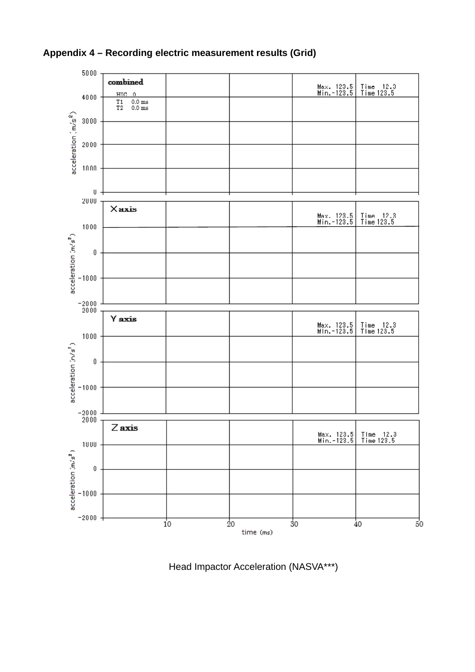

**Appendix 4 – Recording electric measurement results (Grid)** 

Head Impactor Acceleration (NASVA\*\*\*)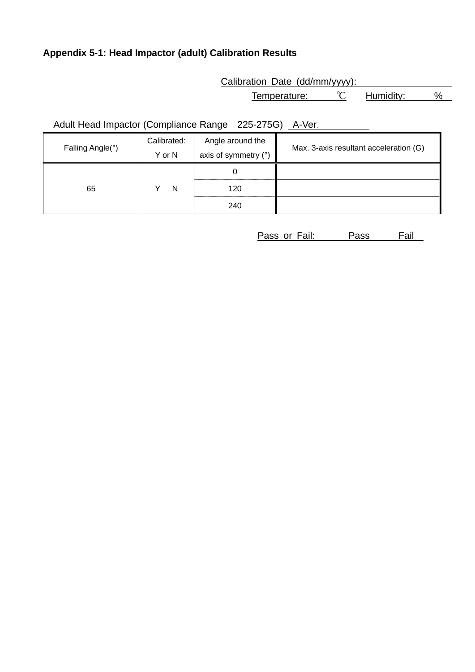# **Appendix 5-1: Head Impactor (adult) Calibration Results**

Calibration Date (dd/mm/yyyy):

Temperature: <u>℃</u> Humidity: %

Adult Head Impactor (Compliance Range 225-275G) A-Ver.

| Falling Angle(°) | Calibrated: | Angle around the     | Max. 3-axis resultant acceleration (G) |
|------------------|-------------|----------------------|----------------------------------------|
|                  | Y or N      | axis of symmetry (°) |                                        |
|                  |             |                      |                                        |
| 65               | N           | 120                  |                                        |
|                  |             | 240                  |                                        |

Pass or Fail: Pass Fail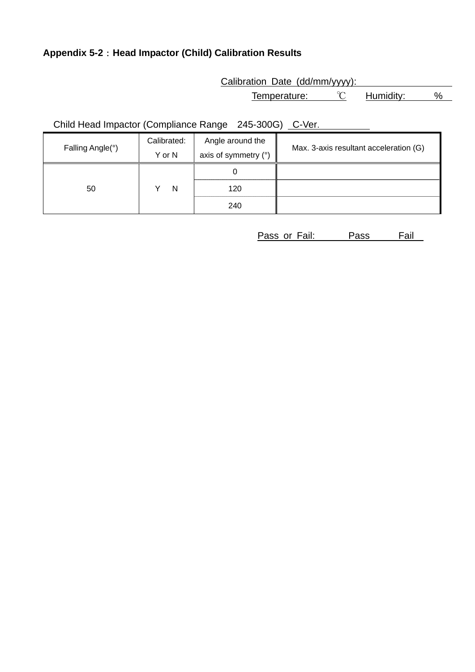# **Appendix 5-2**:**Head Impactor (Child) Calibration Results**

Calibration Date (dd/mm/yyyy):

Temperature: <u>℃</u> Humidity: %

Child Head Impactor (Compliance Range 245-300G) C-Ver.

| Falling Angle(°) | Calibrated: | Angle around the       | Max. 3-axis resultant acceleration (G) |
|------------------|-------------|------------------------|----------------------------------------|
|                  | Y or N      | axis of symmetry $(°)$ |                                        |
|                  |             |                        |                                        |
| 50               | N           | 120                    |                                        |
|                  |             | 240                    |                                        |

Pass or Fail: Pass Fail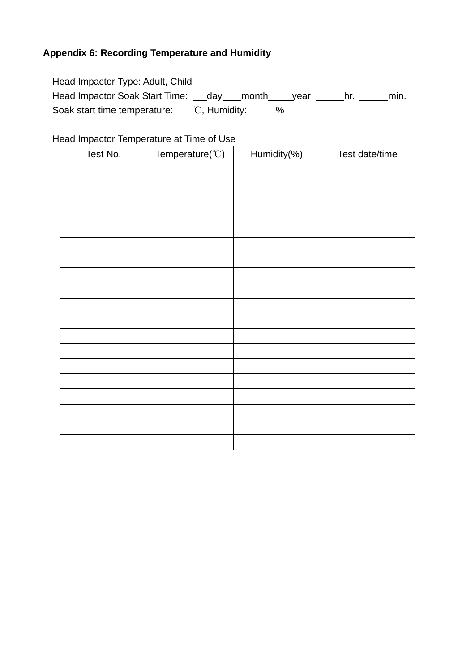# **Appendix 6: Recording Temperature and Humidity**

| Head Impactor Type: Adult, Child              |               |      |      |
|-----------------------------------------------|---------------|------|------|
| Head Impactor Soak Start Time: day month year |               |      | min. |
| Soak start time temperature:                  | °C, Humidity: | $\%$ |      |

# Head Impactor Temperature at Time of Use

| Test No. | Temperature( $\degree$ C) | Humidity(%) | Test date/time |
|----------|---------------------------|-------------|----------------|
|          |                           |             |                |
|          |                           |             |                |
|          |                           |             |                |
|          |                           |             |                |
|          |                           |             |                |
|          |                           |             |                |
|          |                           |             |                |
|          |                           |             |                |
|          |                           |             |                |
|          |                           |             |                |
|          |                           |             |                |
|          |                           |             |                |
|          |                           |             |                |
|          |                           |             |                |
|          |                           |             |                |
|          |                           |             |                |
|          |                           |             |                |
|          |                           |             |                |
|          |                           |             |                |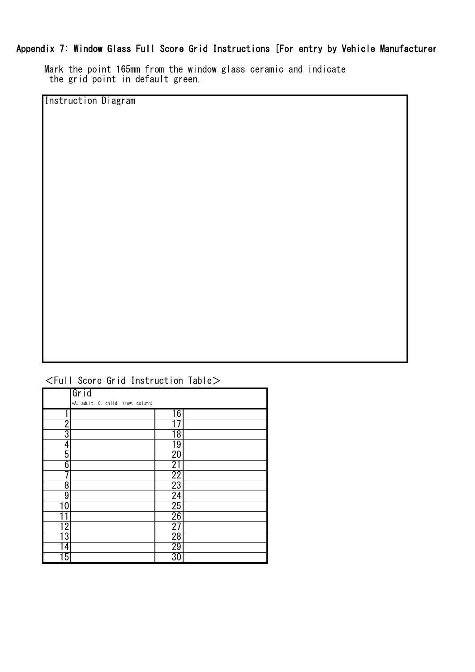## Appendix 7: Window Glass Full Score Grid Instructions [For entry by Vehicle Manufacturer

Mark the point 165mm from the window glass ceramic and indicate the grid point in default green.

Instruction Diagram

|  | $\le$ Full Score Grid Instruction Table $>$ |  |
|--|---------------------------------------------|--|
|  |                                             |  |
|  |                                             |  |

|                   | Grid                               |                 |  |
|-------------------|------------------------------------|-----------------|--|
|                   | *A: adult, C: child, (row, column) |                 |  |
|                   |                                    | 16              |  |
| $\overline{2}$    |                                    |                 |  |
| 3                 |                                    | 18              |  |
| 4                 |                                    | 19              |  |
| 5                 |                                    | 20              |  |
| 6                 |                                    | 21              |  |
| 7                 |                                    | $\overline{22}$ |  |
| 8                 |                                    | 23              |  |
| 9                 |                                    | $\overline{24}$ |  |
| 10                |                                    | $\overline{25}$ |  |
|                   |                                    | 26              |  |
| $1\overline{2}$ . |                                    | $\overline{27}$ |  |
| 13                |                                    | 28              |  |
| 4                 |                                    | 29              |  |
| $\overline{15}$   |                                    | 30              |  |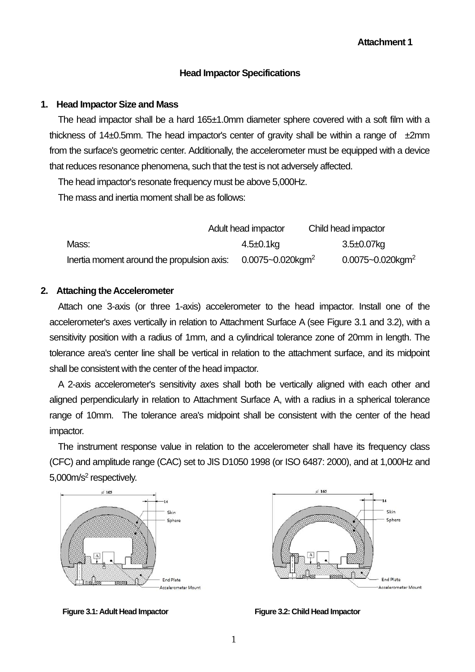#### **Head Impactor Specifications**

#### **1. Head Impactor Size and Mass**

The head impactor shall be a hard 165±1.0mm diameter sphere covered with a soft film with a thickness of 14 $\pm$ 0.5mm. The head impactor's center of gravity shall be within a range of  $\pm$ 2mm from the surface's geometric center. Additionally, the accelerometer must be equipped with a device that reduces resonance phenomena, such that the test is not adversely affected.

The head impactor's resonate frequency must be above 5,000Hz.

The mass and inertia moment shall be as follows:

|                                            | Adult head impactor               | Child head impactor               |  |
|--------------------------------------------|-----------------------------------|-----------------------------------|--|
| Mass:                                      | 4.5±0.1kg                         | 3.5±0.07kg                        |  |
| Inertia moment around the propulsion axis: | $0.0075 - 0.020$ kgm <sup>2</sup> | $0.0075 - 0.020$ kgm <sup>2</sup> |  |

#### **2. Attaching the Accelerometer**

Attach one 3-axis (or three 1-axis) accelerometer to the head impactor. Install one of the accelerometer's axes vertically in relation to Attachment Surface A (see Figure 3.1 and 3.2), with a sensitivity position with a radius of 1mm, and a cylindrical tolerance zone of 20mm in length. The tolerance area's center line shall be vertical in relation to the attachment surface, and its midpoint shall be consistent with the center of the head impactor.

A 2-axis accelerometer's sensitivity axes shall both be vertically aligned with each other and aligned perpendicularly in relation to Attachment Surface A, with a radius in a spherical tolerance range of 10mm. The tolerance area's midpoint shall be consistent with the center of the head impactor.

The instrument response value in relation to the accelerometer shall have its frequency class (CFC) and amplitude range (CAC) set to JIS D1050 1998 (or ISO 6487: 2000), and at 1,000Hz and 5,000m/s<sup>2</sup> respectively.



 $6.165$ Skin Sphere End Plate Accelerometer Mount

**Figure 3.1: Adult Head Impactor Figure 3.2: Child Head Impactor**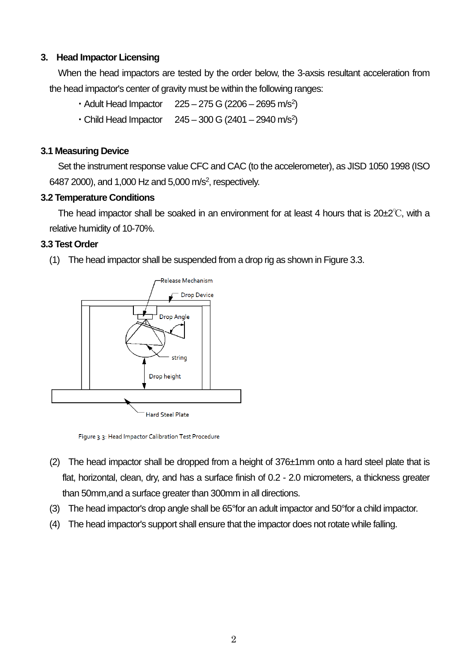## **3. Head Impactor Licensing**

When the head impactors are tested by the order below, the 3-axsis resultant acceleration from the head impactor's center of gravity must be within the following ranges:

- Adult Head Impactor  $225 275$  G (2206 2695 m/s<sup>2</sup>)
- $\cdot$  Child Head Impactor  $245 300$  G (2401 2940 m/s<sup>2</sup>)

## **3.1 Measuring Device**

Set the instrument response value CFC and CAC (to the accelerometer), as JISD 1050 1998 (ISO 6487 2000), and 1,000 Hz and 5,000 m/s<sup>2</sup>, respectively.

## **3.2 Temperature Conditions**

The head impactor shall be soaked in an environment for at least 4 hours that is  $20\pm2^{\circ}\text{C}$ , with a relative humidity of 10-70%.

## **3.3 Test Order**

(1) The head impactor shall be suspended from a drop rig as shown in Figure 3.3.



Figure 3.3: Head Impactor Calibration Test Procedure

- (2) The head impactor shall be dropped from a height of 376±1mm onto a hard steel plate that is flat, horizontal, clean, dry, and has a surface finish of 0.2 - 2.0 micrometers, a thickness greater than 50mm,and a surface greater than 300mm in all directions.
- (3) The head impactor's drop angle shall be 65°for an adult impactor and 50°for a child impactor.
- (4) The head impactor's support shall ensure that the impactor does not rotate while falling.